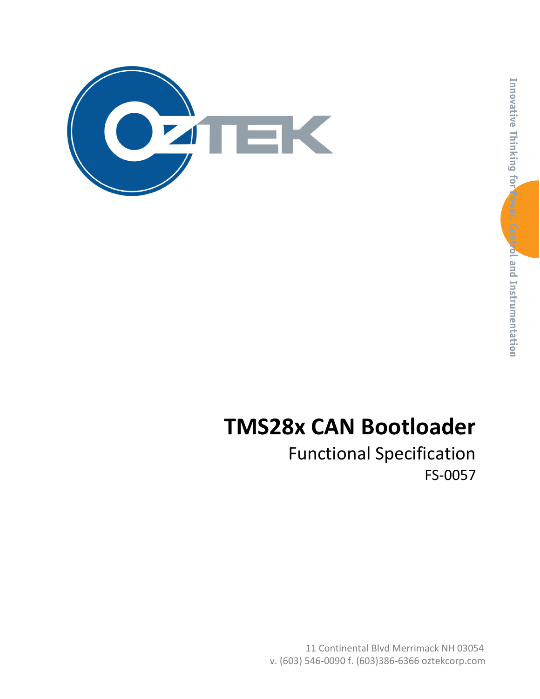

# **TMS28x CAN Bootloader**

Functional Specification FS-0057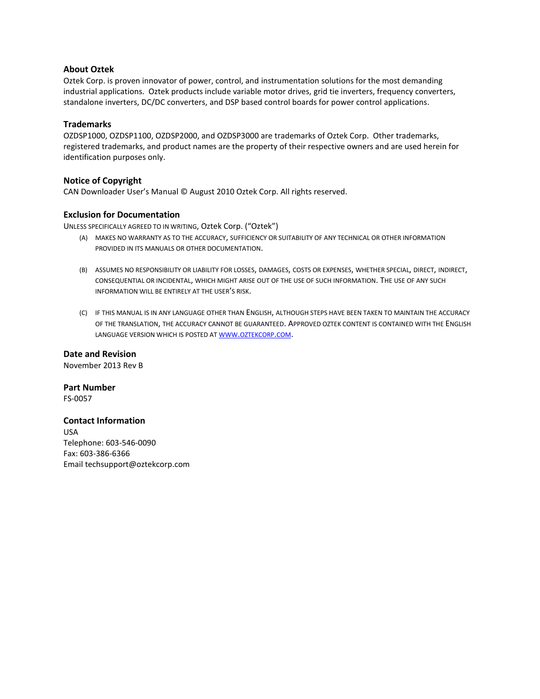#### **About Oztek**

Oztek Corp. is proven innovator of power, control, and instrumentation solutions for the most demanding industrial applications. Oztek products include variable motor drives, grid tie inverters, frequency converters, standalone inverters, DC/DC converters, and DSP based control boards for power control applications.

#### **Trademarks**

OZDSP1000, OZDSP1100, OZDSP2000, and OZDSP3000 are trademarks of Oztek Corp. Other trademarks, registered trademarks, and product names are the property of their respective owners and are used herein for identification purposes only.

#### **Notice of Copyright**

CAN Downloader User's Manual © August 2010 Oztek Corp. All rights reserved.

#### **Exclusion for Documentation**

UNLESS SPECIFICALLY AGREED TO IN WRITING, Oztek Corp. ("Oztek")

- (A) MAKES NO WARRANTY AS TO THE ACCURACY, SUFFICIENCY OR SUITABILITY OF ANY TECHNICAL OR OTHER INFORMATION PROVIDED IN ITS MANUALS OR OTHER DOCUMENTATION.
- (B) ASSUMES NO RESPONSIBILITY OR LIABILITY FOR LOSSES, DAMAGES, COSTS OR EXPENSES, WHETHER SPECIAL, DIRECT, INDIRECT, CONSEQUENTIAL OR INCIDENTAL, WHICH MIGHT ARISE OUT OF THE USE OF SUCH INFORMATION. THE USE OF ANY SUCH INFORMATION WILL BE ENTIRELY AT THE USER'S RISK.
- (C) IF THIS MANUAL IS IN ANY LANGUAGE OTHER THAN ENGLISH, ALTHOUGH STEPS HAVE BEEN TAKEN TO MAINTAIN THE ACCURACY OF THE TRANSLATION, THE ACCURACY CANNOT BE GUARANTEED. APPROVED OZTEK CONTENT IS CONTAINED WITH THE ENGLISH LANGUAGE VERSION WHICH IS POSTED AT WWW.[OZTEKCORP](http://www.oztekcorp.com/).COM.

#### **Date and Revision**

November 2013 Rev B

#### **Part Number**

FS-0057

#### **Contact Information**

USA Telephone: 603-546-0090 Fax: 603-386-6366 Email techsupport@oztekcorp.com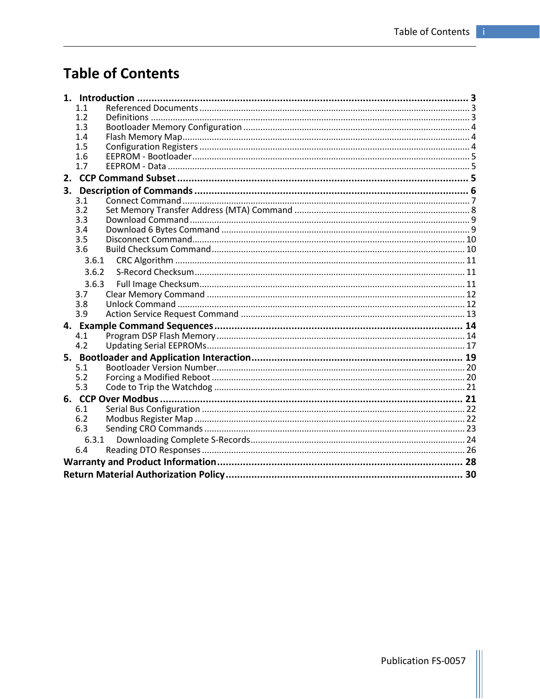# **Table of Contents**

|    | 1.1   |                    |  |  |  |
|----|-------|--------------------|--|--|--|
|    | 1.2   |                    |  |  |  |
|    | 1.3   |                    |  |  |  |
|    | 1.4   |                    |  |  |  |
|    | 1.5   |                    |  |  |  |
|    | 1.6   |                    |  |  |  |
|    | 1.7   |                    |  |  |  |
| 2. |       |                    |  |  |  |
| 3. |       |                    |  |  |  |
|    | 3.1   |                    |  |  |  |
|    | 3.2   |                    |  |  |  |
|    | 3.3   |                    |  |  |  |
|    | 3.4   |                    |  |  |  |
|    | 3.5   |                    |  |  |  |
|    | 3.6   |                    |  |  |  |
|    | 3.6.1 |                    |  |  |  |
|    | 3.6.2 |                    |  |  |  |
|    | 3.6.3 |                    |  |  |  |
|    | 3.7   |                    |  |  |  |
|    | 3.8   |                    |  |  |  |
|    | 3.9   |                    |  |  |  |
|    |       |                    |  |  |  |
|    | 4.1   |                    |  |  |  |
|    | 4.2   |                    |  |  |  |
|    |       |                    |  |  |  |
|    | 5.1   |                    |  |  |  |
|    | 5.2   |                    |  |  |  |
|    | 5.3   |                    |  |  |  |
|    |       | 6. CCP Over Modbus |  |  |  |
|    | 6.1   |                    |  |  |  |
|    | 6.2   |                    |  |  |  |
|    | 6.3   |                    |  |  |  |
|    | 6.3.1 |                    |  |  |  |
|    | 6.4   |                    |  |  |  |
|    |       |                    |  |  |  |
|    |       |                    |  |  |  |
|    |       |                    |  |  |  |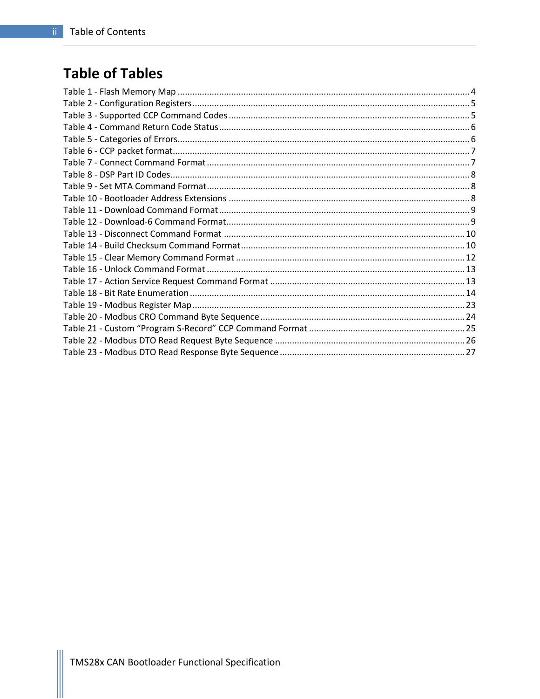# **Table of Tables**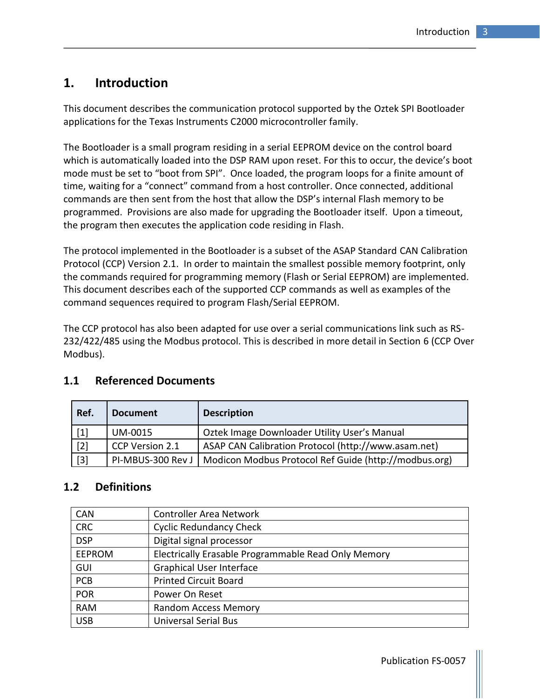### <span id="page-4-0"></span>**1. Introduction**

This document describes the communication protocol supported by the Oztek SPI Bootloader applications for the Texas Instruments C2000 microcontroller family.

The Bootloader is a small program residing in a serial EEPROM device on the control board which is automatically loaded into the DSP RAM upon reset. For this to occur, the device's boot mode must be set to "boot from SPI". Once loaded, the program loops for a finite amount of time, waiting for a "connect" command from a host controller. Once connected, additional commands are then sent from the host that allow the DSP's internal Flash memory to be programmed. Provisions are also made for upgrading the Bootloader itself. Upon a timeout, the program then executes the application code residing in Flash.

The protocol implemented in the Bootloader is a subset of the ASAP Standard CAN Calibration Protocol (CCP) Version 2.1. In order to maintain the smallest possible memory footprint, only the commands required for programming memory (Flash or Serial EEPROM) are implemented. This document describes each of the supported CCP commands as well as examples of the command sequences required to program Flash/Serial EEPROM.

The CCP protocol has also been adapted for use over a serial communications link such as RS-232/422/485 using the Modbus protocol. This is described in more detail in Section [6](#page-22-1) [\(CCP Over](#page-22-1)  [Modbus\)](#page-22-1).

|                            | Ref.  | <b>Document</b> | <b>Description</b>                                    |
|----------------------------|-------|-----------------|-------------------------------------------------------|
|                            | $[1]$ | <b>UM-0015</b>  | Oztek Image Downloader Utility User's Manual          |
|                            | $[2]$ | CCP Version 2.1 | ASAP CAN Calibration Protocol (http://www.asam.net)   |
| $[3]$<br>PI-MBUS-300 Rev J |       |                 | Modicon Modbus Protocol Ref Guide (http://modbus.org) |

### <span id="page-4-1"></span>**1.1 Referenced Documents**

### <span id="page-4-2"></span>**1.2 Definitions**

| <b>CAN</b>                                   | <b>Controller Area Network</b>                      |
|----------------------------------------------|-----------------------------------------------------|
| <b>CRC</b><br><b>Cyclic Redundancy Check</b> |                                                     |
| <b>DSP</b><br>Digital signal processor       |                                                     |
| <b>EEPROM</b>                                | Electrically Erasable Programmable Read Only Memory |
| GUI                                          | <b>Graphical User Interface</b>                     |
| <b>PCB</b>                                   | <b>Printed Circuit Board</b>                        |
| <b>POR</b>                                   | Power On Reset                                      |
| <b>RAM</b>                                   | <b>Random Access Memory</b>                         |
| <b>USB</b>                                   | <b>Universal Serial Bus</b>                         |

Publication FS-0057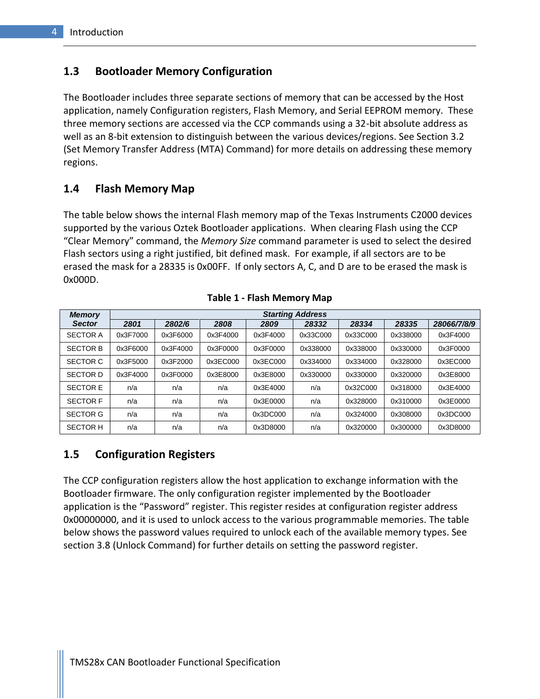### <span id="page-5-0"></span>**1.3 Bootloader Memory Configuration**

The Bootloader includes three separate sections of memory that can be accessed by the Host application, namely Configuration registers, Flash Memory, and Serial EEPROM memory. These three memory sections are accessed via the CCP commands using a 32-bit absolute address as well as an 8-bit extension to distinguish between the various devices/regions. See Section [3.2](#page-9-0) [\(Set Memory Transfer Address \(MTA\) Command\)](#page-9-0) for more details on addressing these memory regions.

### <span id="page-5-1"></span>**1.4 Flash Memory Map**

The table below shows the internal Flash memory map of the Texas Instruments C2000 devices supported by the various Oztek Bootloader applications. When clearing Flash using the CCP "Clear Memory" command, the *Memory Size* command parameter is used to select the desired Flash sectors using a right justified, bit defined mask. For example, if all sectors are to be erased the mask for a 28335 is 0x00FF. If only sectors A, C, and D are to be erased the mask is 0x000D.

<span id="page-5-3"></span>

| <b>Memory</b>   | <b>Starting Address</b> |          |          |          |          |          |          |             |
|-----------------|-------------------------|----------|----------|----------|----------|----------|----------|-------------|
| <b>Sector</b>   | 2801                    | 2802/6   | 2808     | 2809     | 28332    | 28334    | 28335    | 28066/7/8/9 |
| <b>SECTOR A</b> | 0x3F7000                | 0x3F6000 | 0x3F4000 | 0x3F4000 | 0x33C000 | 0x33C000 | 0x338000 | 0x3F4000    |
| <b>SECTOR B</b> | 0x3F6000                | 0x3F4000 | 0x3F0000 | 0x3F0000 | 0x338000 | 0x338000 | 0x330000 | 0x3F0000    |
| <b>SECTOR C</b> | 0x3F5000                | 0x3F2000 | 0x3EC000 | 0x3EC000 | 0x334000 | 0x334000 | 0x328000 | 0x3EC000    |
| <b>SECTOR D</b> | 0x3F4000                | 0x3F0000 | 0x3E8000 | 0x3E8000 | 0x330000 | 0x330000 | 0x320000 | 0x3E8000    |
| <b>SECTOR E</b> | n/a                     | n/a      | n/a      | 0x3E4000 | n/a      | 0x32C000 | 0x318000 | 0x3E4000    |
| <b>SECTOR F</b> | n/a                     | n/a      | n/a      | 0x3E0000 | n/a      | 0x328000 | 0x310000 | 0x3E0000    |
| <b>SECTOR G</b> | n/a                     | n/a      | n/a      | 0x3DC000 | n/a      | 0x324000 | 0x308000 | 0x3DC000    |
| <b>SECTOR H</b> | n/a                     | n/a      | n/a      | 0x3D8000 | n/a      | 0x320000 | 0x300000 | 0x3D8000    |

|  |  |  | <b>Table 1 - Flash Memory Map</b> |  |
|--|--|--|-----------------------------------|--|
|--|--|--|-----------------------------------|--|

### <span id="page-5-2"></span>**1.5 Configuration Registers**

The CCP configuration registers allow the host application to exchange information with the Bootloader firmware. The only configuration register implemented by the Bootloader application is the "Password" register. This register resides at configuration register address 0x00000000, and it is used to unlock access to the various programmable memories. The table below shows the password values required to unlock each of the available memory types. See section [3.8](#page-13-1) [\(Unlock Command\)](#page-13-1) for further details on setting the password register.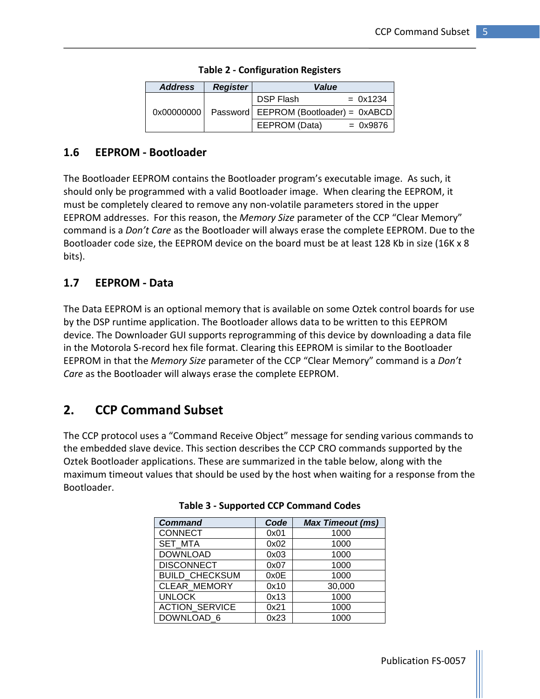| <b>Address</b> | <b>Register</b> | Value                                   |            |
|----------------|-----------------|-----------------------------------------|------------|
|                |                 | <b>DSP Flash</b>                        | $= 0x1234$ |
| 0x00000000     |                 | Password   EEPROM (Bootloader) = 0xABCD |            |
|                |                 | EEPROM (Data)                           | $= 0x9876$ |

**Table 2 - Configuration Registers**

### <span id="page-6-3"></span><span id="page-6-0"></span>**1.6 EEPROM - Bootloader**

The Bootloader EEPROM contains the Bootloader program's executable image. As such, it should only be programmed with a valid Bootloader image. When clearing the EEPROM, it must be completely cleared to remove any non-volatile parameters stored in the upper EEPROM addresses. For this reason, the *Memory Size* parameter of the CCP "Clear Memory" command is a *Don't Care* as the Bootloader will always erase the complete EEPROM. Due to the Bootloader code size, the EEPROM device on the board must be at least 128 Kb in size (16K x 8 bits).

### <span id="page-6-1"></span>**1.7 EEPROM - Data**

The Data EEPROM is an optional memory that is available on some Oztek control boards for use by the DSP runtime application. The Bootloader allows data to be written to this EEPROM device. The Downloader GUI supports reprogramming of this device by downloading a data file in the Motorola S-record hex file format. Clearing this EEPROM is similar to the Bootloader EEPROM in that the *Memory Size* parameter of the CCP "Clear Memory" command is a *Don't Care* as the Bootloader will always erase the complete EEPROM.

### <span id="page-6-2"></span>**2. CCP Command Subset**

<span id="page-6-4"></span>The CCP protocol uses a "Command Receive Object" message for sending various commands to the embedded slave device. This section describes the CCP CRO commands supported by the Oztek Bootloader applications. These are summarized in the table below, along with the maximum timeout values that should be used by the host when waiting for a response from the Bootloader.

| <b>Command</b>        | Code | <b>Max Timeout (ms)</b> |
|-----------------------|------|-------------------------|
| <b>CONNECT</b>        | 0x01 | 1000                    |
| <b>SET MTA</b>        | 0x02 | 1000                    |
| <b>DOWNLOAD</b>       | 0x03 | 1000                    |
| <b>DISCONNECT</b>     | 0x07 | 1000                    |
| <b>BUILD CHECKSUM</b> | 0x0E | 1000                    |
| CLEAR_MEMORY          | 0x10 | 30,000                  |
| <b>UNLOCK</b>         | 0x13 | 1000                    |
| <b>ACTION SERVICE</b> | 0x21 | 1000                    |
| DOWNLOAD 6            | 0x23 | 1000                    |

|  | <b>Table 3 - Supported CCP Command Codes</b> |
|--|----------------------------------------------|
|--|----------------------------------------------|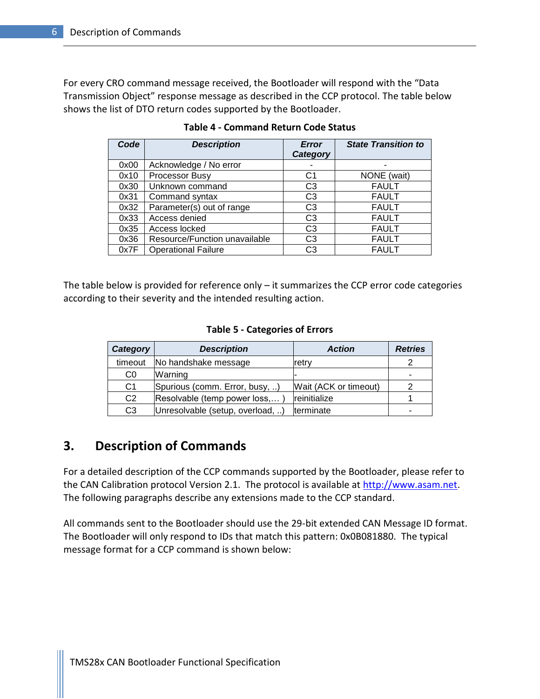<span id="page-7-1"></span>For every CRO command message received, the Bootloader will respond with the "Data Transmission Object" response message as described in the CCP protocol. The table below shows the list of DTO return codes supported by the Bootloader.

| Code | <b>Description</b>            | Error          | <b>State Transition to</b> |
|------|-------------------------------|----------------|----------------------------|
|      |                               | Category       |                            |
| 0x00 | Acknowledge / No error        |                |                            |
| 0x10 | Processor Busy                | C <sub>1</sub> | NONE (wait)                |
| 0x30 | Unknown command               | C <sub>3</sub> | <b>FAULT</b>               |
| 0x31 | Command syntax                | C <sub>3</sub> | <b>FAULT</b>               |
| 0x32 | Parameter(s) out of range     | C <sub>3</sub> | <b>FAULT</b>               |
| 0x33 | Access denied                 | C <sub>3</sub> | <b>FAULT</b>               |
| 0x35 | Access locked                 | C <sub>3</sub> | <b>FAULT</b>               |
| 0x36 | Resource/Function unavailable | C <sub>3</sub> | <b>FAULT</b>               |
| 0x7F | <b>Operational Failure</b>    | C <sub>3</sub> | <b>FAULT</b>               |

**Table 4 - Command Return Code Status**

<span id="page-7-2"></span>The table below is provided for reference only  $-$  it summarizes the CCP error code categories according to their severity and the intended resulting action.

#### **Table 5 - Categories of Errors**

| Category       | <b>Description</b>               | <b>Action</b>         | <b>Retries</b> |
|----------------|----------------------------------|-----------------------|----------------|
| timeout        | No handshake message             | retry                 |                |
| C <sub>0</sub> | Warning                          |                       |                |
| C <sub>1</sub> | Spurious (comm. Error, busy, )   | Wait (ACK or timeout) |                |
| C <sub>2</sub> | Resolvable (temp power loss,)    | reinitialize          |                |
| C <sub>3</sub> | Unresolvable (setup, overload, ) | terminate             |                |

### <span id="page-7-0"></span>**3. Description of Commands**

For a detailed description of the CCP commands supported by the Bootloader, please refer to the CAN Calibration protocol Version 2.1. The protocol is available at [http://www.asam.net.](http://www.asam.net/) The following paragraphs describe any extensions made to the CCP standard.

All commands sent to the Bootloader should use the 29-bit extended CAN Message ID format. The Bootloader will only respond to IDs that match this pattern: 0x0B081880. The typical message format for a CCP command is shown below: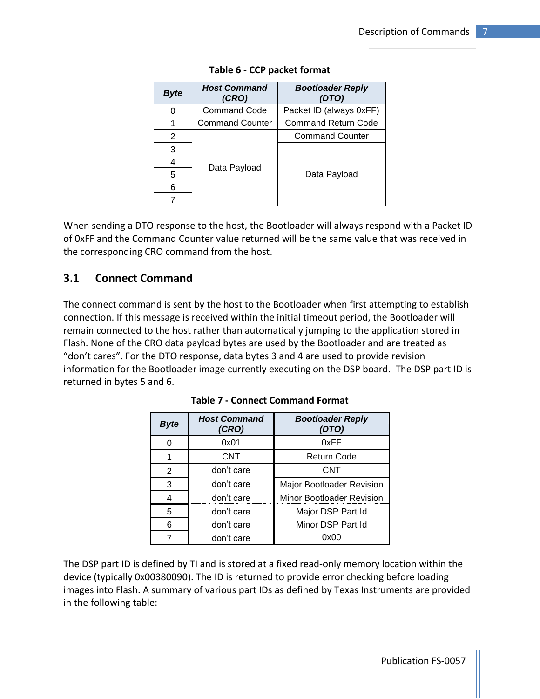<span id="page-8-1"></span>

| <b>Byte</b> | <b>Host Command</b><br>(CRO) | <b>Bootloader Reply</b><br>(DTO) |  |
|-------------|------------------------------|----------------------------------|--|
| 0           | <b>Command Code</b>          | Packet ID (always 0xFF)          |  |
| 1           | <b>Command Counter</b>       | <b>Command Return Code</b>       |  |
| 2           | Data Payload                 | <b>Command Counter</b>           |  |
| 3           |                              |                                  |  |
| 4           |                              |                                  |  |
| 5           |                              | Data Payload                     |  |
| 6           |                              |                                  |  |
|             |                              |                                  |  |

**Table 6 - CCP packet format**

When sending a DTO response to the host, the Bootloader will always respond with a Packet ID of 0xFF and the Command Counter value returned will be the same value that was received in the corresponding CRO command from the host.

### <span id="page-8-0"></span>**3.1 Connect Command**

<span id="page-8-2"></span>The connect command is sent by the host to the Bootloader when first attempting to establish connection. If this message is received within the initial timeout period, the Bootloader will remain connected to the host rather than automatically jumping to the application stored in Flash. None of the CRO data payload bytes are used by the Bootloader and are treated as "don't cares". For the DTO response, data bytes 3 and 4 are used to provide revision information for the Bootloader image currently executing on the DSP board. The DSP part ID is returned in bytes 5 and 6.

| Bvte | <b>Host Command</b><br>(CRO) | <b>Bootloader Reply</b><br>(DTO) |
|------|------------------------------|----------------------------------|
|      | 0x01                         | 0xFF                             |
|      | CNT                          | Return Code                      |
| 2    | don't care                   | CNT                              |
|      | don't care                   | <b>Major Bootloader Revision</b> |
|      | don't care                   | Minor Bootloader Revision        |
|      | don't care                   | Major DSP Part Id                |
|      | don't care                   | Minor DSP Part Id                |
|      | don't care                   |                                  |

**Table 7 - Connect Command Format**

The DSP part ID is defined by TI and is stored at a fixed read-only memory location within the device (typically 0x00380090). The ID is returned to provide error checking before loading images into Flash. A summary of various part IDs as defined by Texas Instruments are provided in the following table:

Publication FS-0057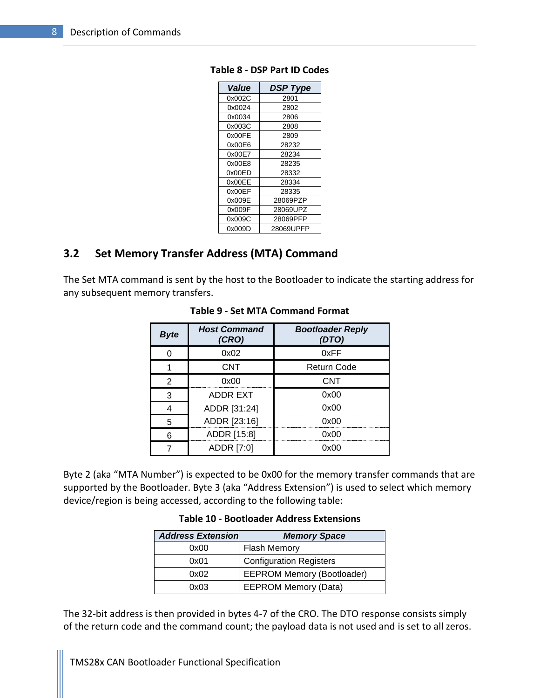| Value  | <b>DSP Type</b> |
|--------|-----------------|
| 0x002C | 2801            |
| 0x0024 | 2802            |
| 0x0034 | 2806            |
| 0x003C | 2808            |
| 0x00FE | 2809            |
| 0x00E6 | 28232           |
| 0x00E7 | 28234           |
| 0x00E8 | 28235           |
| 0x00ED | 28332           |
| 0x00EE | 28334           |
| 0x00EF | 28335           |
| 0x009E | 28069PZP        |
| 0x009F | 28069UPZ        |
| 0x009C | 28069PFP        |
| 0x009D | 28069UPFP       |

#### <span id="page-9-1"></span>**Table 8 - DSP Part ID Codes**

### <span id="page-9-0"></span>**3.2 Set Memory Transfer Address (MTA) Command**

<span id="page-9-2"></span>The Set MTA command is sent by the host to the Bootloader to indicate the starting address for any subsequent memory transfers.

| Bvte | <b>Host Command</b><br>CRO) | <b>Bootloader Reply</b> |
|------|-----------------------------|-------------------------|
|      | 0x02                        | 0xFF                    |
|      | CNT                         | <b>Return Code</b>      |
|      | nxnr                        | <b>CNT</b>              |
|      | ADDR EXT                    | nynr                    |
|      | ADDR [31:24]                | ი×იი                    |
|      | ADDR [23:16]                | ∩⊻∩∩                    |
|      | ADDR [15:8]                 | ח∨ר                     |
|      | ADDR [7:0]                  | nynr                    |

#### **Table 9 - Set MTA Command Format**

<span id="page-9-3"></span>Byte 2 (aka "MTA Number") is expected to be 0x00 for the memory transfer commands that are supported by the Bootloader. Byte 3 (aka "Address Extension") is used to select which memory device/region is being accessed, according to the following table:

**Table 10 - Bootloader Address Extensions**

| <b>Address Extension</b> | <b>Memory Space</b>               |
|--------------------------|-----------------------------------|
| 0x00                     | <b>Flash Memory</b>               |
| 0x01                     | <b>Configuration Registers</b>    |
| 0x02                     | <b>EEPROM Memory (Bootloader)</b> |
| 0x03                     | <b>EEPROM Memory (Data)</b>       |

The 32-bit address is then provided in bytes 4-7 of the CRO. The DTO response consists simply of the return code and the command count; the payload data is not used and is set to all zeros.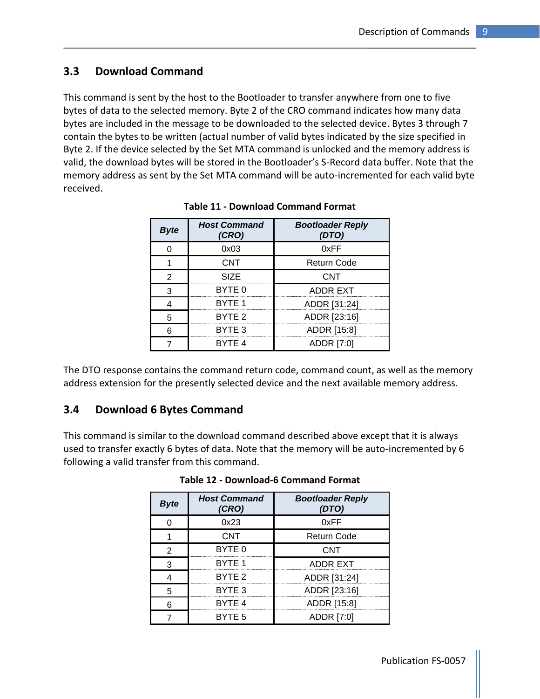### <span id="page-10-0"></span>**3.3 Download Command**

This command is sent by the host to the Bootloader to transfer anywhere from one to five bytes of data to the selected memory. Byte 2 of the CRO command indicates how many data bytes are included in the message to be downloaded to the selected device. Bytes 3 through 7 contain the bytes to be written (actual number of valid bytes indicated by the size specified in Byte 2. If the device selected by the Set MTA command is unlocked and the memory address is valid, the download bytes will be stored in the Bootloader's S-Record data buffer. Note that the memory address as sent by the Set MTA command will be auto-incremented for each valid byte received.

<span id="page-10-2"></span>

| Bvte | <b>Host Command</b><br>(CRO) | <b>Bootloader Reply</b><br>DTO) |
|------|------------------------------|---------------------------------|
|      | 0x03                         | 0xFF                            |
|      | <b>CNT</b>                   | Return Code                     |
| 2    | SIZF                         | CNT                             |
|      | BYTE 0                       | ADDR EXT                        |
|      | BYTE 1                       | ADDR [31:24]                    |
|      | BYTE 2                       | ADDR [23:16]                    |
|      | BYTE 3                       | ADDR [15:8]                     |
|      | <b>BYTE 4</b>                | ADDR [7:0]                      |

**Table 11 - Download Command Format**

The DTO response contains the command return code, command count, as well as the memory address extension for the presently selected device and the next available memory address.

### <span id="page-10-1"></span>**3.4 Download 6 Bytes Command**

<span id="page-10-3"></span>This command is similar to the download command described above except that it is always used to transfer exactly 6 bytes of data. Note that the memory will be auto-incremented by 6 following a valid transfer from this command.

| Bvte | <b>Host Command</b><br>CROI | <b>Bootloader Reply</b> |
|------|-----------------------------|-------------------------|
|      | 0x23                        | 0xFF                    |
|      | <b>CNT</b>                  | Return Code             |
|      | BYTE 0                      | CNT                     |
|      | BYTE 1                      | ADDR EXT                |
|      | RYTE <sub>2</sub>           | ADDR [31:24]            |
|      | BYTE 3                      | ADDR [23:16]            |
|      | BYTE 4                      | ADDR [15:8]             |
|      | BYTE <sub>5</sub>           | ADDR [7:0]              |

**Table 12 - Download-6 Command Format**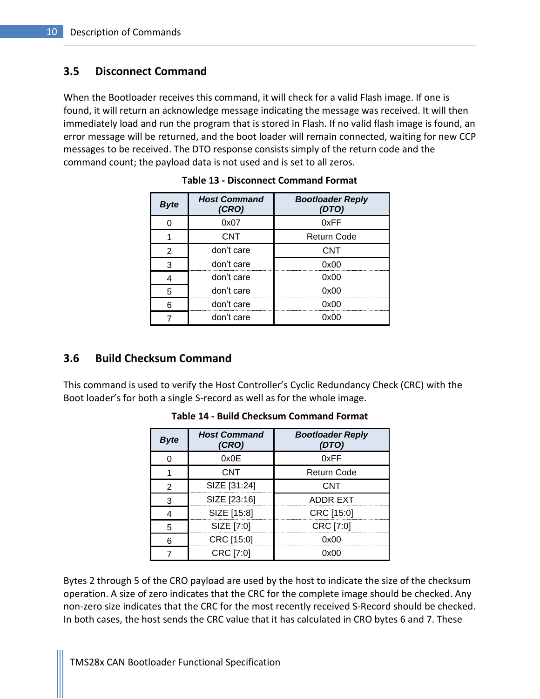### <span id="page-11-0"></span>**3.5 Disconnect Command**

<span id="page-11-2"></span>When the Bootloader receives this command, it will check for a valid Flash image. If one is found, it will return an acknowledge message indicating the message was received. It will then immediately load and run the program that is stored in Flash. If no valid flash image is found, an error message will be returned, and the boot loader will remain connected, waiting for new CCP messages to be received. The DTO response consists simply of the return code and the command count; the payload data is not used and is set to all zeros.

| <b>Host Command</b><br>CRO) | <b>Bootloader Reply</b><br>(DTO) |
|-----------------------------|----------------------------------|
| 0x07                        | 0xFF                             |
| CNT.                        | Return Code                      |
| don't care                  | CNT                              |
| don't care                  |                                  |
| don't care                  | nynn                             |
| don't care                  |                                  |
| don't care                  |                                  |
| don't care                  |                                  |

### <span id="page-11-1"></span>**3.6 Build Checksum Command**

<span id="page-11-3"></span>This command is used to verify the Host Controller's Cyclic Redundancy Check (CRC) with the Boot loader's for both a single S-record as well as for the whole image.

| <b>Host Command</b><br>CRO) | <b>Bootloader Reply</b><br>DTO) |
|-----------------------------|---------------------------------|
| 0x0E                        | 0xFF                            |
| <b>CNT</b>                  | <b>Return Code</b>              |
| SIZE [31:24]                | CNT                             |
| SIZE [23:16]                | ADDR EXT                        |
| SIZE [15:8]                 | CRC [15:0]                      |
| SIZE [7:0]                  | CRC [7:0]                       |
| CRC [15:0]                  | nxnn                            |
| CRC [7:0]                   |                                 |

Bytes 2 through 5 of the CRO payload are used by the host to indicate the size of the checksum operation. A size of zero indicates that the CRC for the complete image should be checked. Any non-zero size indicates that the CRC for the most recently received S-Record should be checked. In both cases, the host sends the CRC value that it has calculated in CRO bytes 6 and 7. These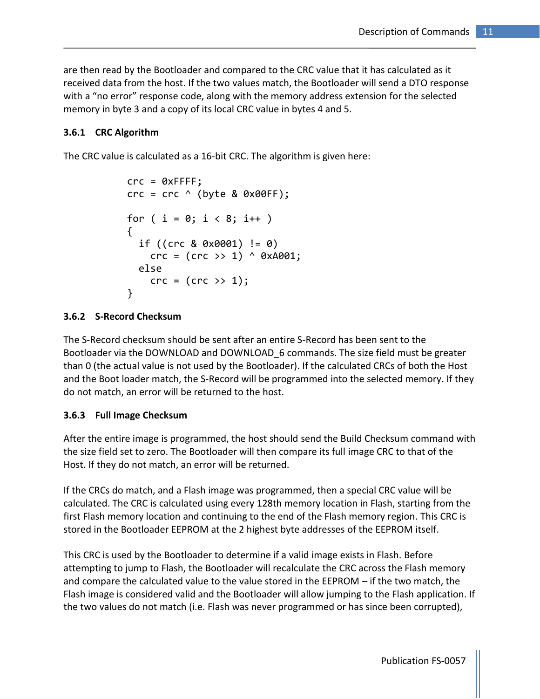are then read by the Bootloader and compared to the CRC value that it has calculated as it received data from the host. If the two values match, the Bootloader will send a DTO response with a "no error" response code, along with the memory address extension for the selected memory in byte 3 and a copy of its local CRC value in bytes 4 and 5.

#### <span id="page-12-0"></span>**3.6.1 CRC Algorithm**

The CRC value is calculated as a 16-bit CRC. The algorithm is given here:

```
\text{crc} = \text{0} \times \text{FFFF};
\text{crc} = \text{crc} \land (\text{byte } \& 0x00FF);for ( i = 0; i < 8; i++){
    if ((crc & 0x0001) != 0)
      \text{crc} = (\text{crc} \gg 1) ^ 0xA001;
   else
      crc = (crc \gg 1);}
```
#### <span id="page-12-1"></span>**3.6.2 S-Record Checksum**

The S-Record checksum should be sent after an entire S-Record has been sent to the Bootloader via the DOWNLOAD and DOWNLOAD 6 commands. The size field must be greater than 0 (the actual value is not used by the Bootloader). If the calculated CRCs of both the Host and the Boot loader match, the S-Record will be programmed into the selected memory. If they do not match, an error will be returned to the host.

#### <span id="page-12-2"></span>**3.6.3 Full Image Checksum**

After the entire image is programmed, the host should send the Build Checksum command with the size field set to zero. The Bootloader will then compare its full image CRC to that of the Host. If they do not match, an error will be returned.

If the CRCs do match, and a Flash image was programmed, then a special CRC value will be calculated. The CRC is calculated using every 128th memory location in Flash, starting from the first Flash memory location and continuing to the end of the Flash memory region. This CRC is stored in the Bootloader EEPROM at the 2 highest byte addresses of the EEPROM itself.

This CRC is used by the Bootloader to determine if a valid image exists in Flash. Before attempting to jump to Flash, the Bootloader will recalculate the CRC across the Flash memory and compare the calculated value to the value stored in the EEPROM – if the two match, the Flash image is considered valid and the Bootloader will allow jumping to the Flash application. If the two values do not match (i.e. Flash was never programmed or has since been corrupted),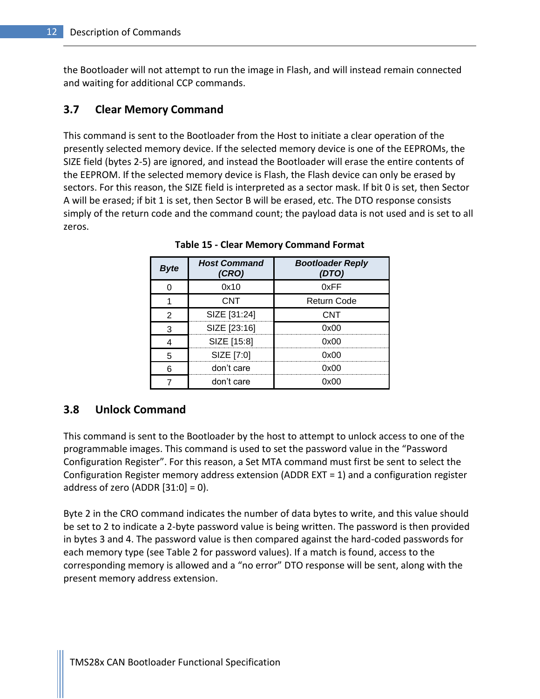the Bootloader will not attempt to run the image in Flash, and will instead remain connected and waiting for additional CCP commands.

### <span id="page-13-0"></span>**3.7 Clear Memory Command**

This command is sent to the Bootloader from the Host to initiate a clear operation of the presently selected memory device. If the selected memory device is one of the EEPROMs, the SIZE field (bytes 2-5) are ignored, and instead the Bootloader will erase the entire contents of the EEPROM. If the selected memory device is Flash, the Flash device can only be erased by sectors. For this reason, the SIZE field is interpreted as a sector mask. If bit 0 is set, then Sector A will be erased; if bit 1 is set, then Sector B will be erased, etc. The DTO response consists simply of the return code and the command count; the payload data is not used and is set to all zeros.

<span id="page-13-2"></span>

| <b>Host Command</b><br><b>CRO)</b> | <b>Bootloader Reply</b><br>DTO) |
|------------------------------------|---------------------------------|
| 0x10                               | 0xFF                            |
| CNT                                | <b>Return Code</b>              |
| SIZE [31:24]                       | CNT                             |
| SIZE [23:16]                       | ი×იი                            |
| SIZE [15:8]                        | ᲘxᲘᲘ                            |
| SIZE [7:0]                         | ∩∨∩∩                            |
| don't care                         |                                 |
| don't care                         |                                 |

**Table 15 - Clear Memory Command Format**

### <span id="page-13-1"></span>**3.8 Unlock Command**

This command is sent to the Bootloader by the host to attempt to unlock access to one of the programmable images. This command is used to set the password value in the "Password Configuration Register". For this reason, a Set MTA command must first be sent to select the Configuration Register memory address extension (ADDR EXT = 1) and a configuration register address of zero (ADDR  $[31:0] = 0$ ).

Byte 2 in the CRO command indicates the number of data bytes to write, and this value should be set to 2 to indicate a 2-byte password value is being written. The password is then provided in bytes 3 and 4. The password value is then compared against the hard-coded passwords for each memory type (see [Table 2](#page-6-3) for password values). If a match is found, access to the corresponding memory is allowed and a "no error" DTO response will be sent, along with the present memory address extension.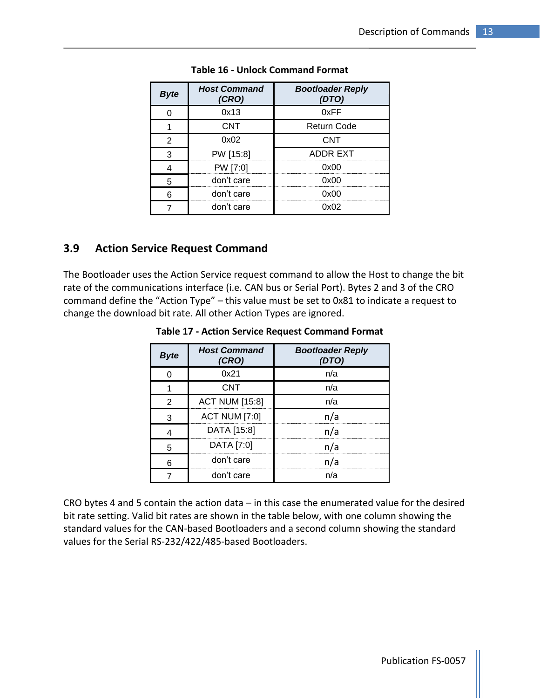<span id="page-14-1"></span>

| Bvte | <b>Host Command</b><br>(CRO) | <b>Bootloader Reply</b><br>(DTO) |
|------|------------------------------|----------------------------------|
|      | 0x13                         | 0xFF                             |
|      | <b>CNT</b>                   | <b>Return Code</b>               |
|      | በአበጋ                         | C.N.T                            |
|      | PW [15:8]                    | ADDR EXT                         |
|      | PW [7:0]                     | ი×იი                             |
|      | don't care                   | ∩x∩∩                             |
|      | don't care                   |                                  |
|      | don't care                   |                                  |

| <b>Table 16 - Unlock Command Format</b> |  |  |
|-----------------------------------------|--|--|
|-----------------------------------------|--|--|

### <span id="page-14-0"></span>**3.9 Action Service Request Command**

<span id="page-14-2"></span>The Bootloader uses the Action Service request command to allow the Host to change the bit rate of the communications interface (i.e. CAN bus or Serial Port). Bytes 2 and 3 of the CRO command define the "Action Type" – this value must be set to 0x81 to indicate a request to change the download bit rate. All other Action Types are ignored.

| Bvte | <b>Host Command</b><br>(CRO) | <b>Bootloader Reply</b><br>DTO) |
|------|------------------------------|---------------------------------|
|      | 0x21                         | n/a                             |
|      | <b>CNT</b>                   | n/a                             |
|      | <b>ACT NUM [15:8]</b>        | n/a                             |
|      | <b>ACT NUM [7:0]</b>         |                                 |
|      | DATA [15:8]                  | n/a                             |
|      | DATA [7:0]                   | n/a                             |
|      | don't care                   |                                 |
|      | don't care                   | n/a                             |

**Table 17 - Action Service Request Command Format**

CRO bytes 4 and 5 contain the action data – in this case the enumerated value for the desired bit rate setting. Valid bit rates are shown in the table below, with one column showing the standard values for the CAN-based Bootloaders and a second column showing the standard values for the Serial RS-232/422/485-based Bootloaders.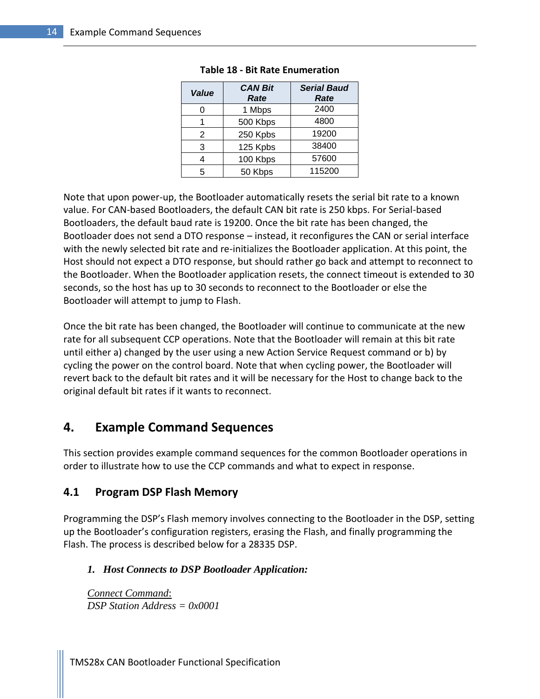<span id="page-15-2"></span>

| <b>Value</b> | <b>CAN Bit</b><br>Rate | <b>Serial Baud</b><br>Rate |
|--------------|------------------------|----------------------------|
|              | 1 Mbps                 | 2400                       |
|              | 500 Kbps               | 4800                       |
| 2            | 250 Kpbs               | 19200                      |
| 3            | 125 Kpbs               | 38400                      |
|              | 100 Kbps               | 57600                      |
| 5            | 50 Kbps                | 115200                     |

#### **Table 18 - Bit Rate Enumeration**

Note that upon power-up, the Bootloader automatically resets the serial bit rate to a known value. For CAN-based Bootloaders, the default CAN bit rate is 250 kbps. For Serial-based Bootloaders, the default baud rate is 19200. Once the bit rate has been changed, the Bootloader does not send a DTO response – instead, it reconfigures the CAN or serial interface with the newly selected bit rate and re-initializes the Bootloader application. At this point, the Host should not expect a DTO response, but should rather go back and attempt to reconnect to the Bootloader. When the Bootloader application resets, the connect timeout is extended to 30 seconds, so the host has up to 30 seconds to reconnect to the Bootloader or else the Bootloader will attempt to jump to Flash.

Once the bit rate has been changed, the Bootloader will continue to communicate at the new rate for all subsequent CCP operations. Note that the Bootloader will remain at this bit rate until either a) changed by the user using a new Action Service Request command or b) by cycling the power on the control board. Note that when cycling power, the Bootloader will revert back to the default bit rates and it will be necessary for the Host to change back to the original default bit rates if it wants to reconnect.

### <span id="page-15-0"></span>**4. Example Command Sequences**

This section provides example command sequences for the common Bootloader operations in order to illustrate how to use the CCP commands and what to expect in response.

### <span id="page-15-1"></span>**4.1 Program DSP Flash Memory**

Programming the DSP's Flash memory involves connecting to the Bootloader in the DSP, setting up the Bootloader's configuration registers, erasing the Flash, and finally programming the Flash. The process is described below for a 28335 DSP.

### *1. Host Connects to DSP Bootloader Application:*

*Connect Command*: *DSP Station Address = 0x0001*

TMS28x CAN Bootloader Functional Specification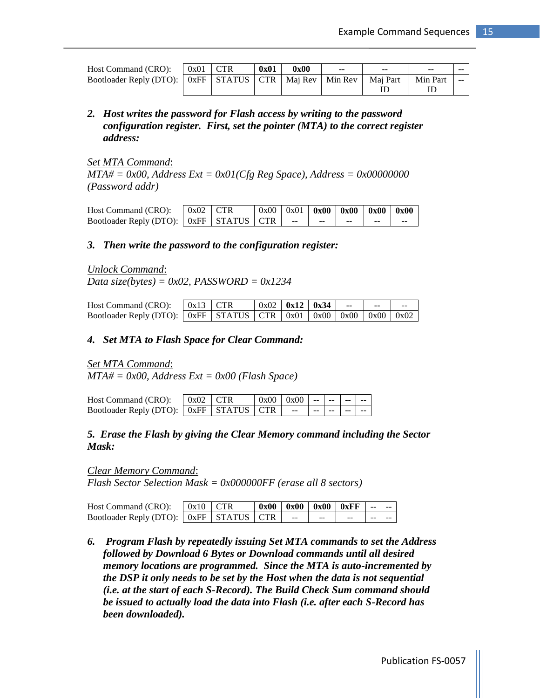| Host Command (CRO):                                               | $0x01$ CTR | 0x01 | 0x00 | $- -$ | $\qquad \qquad -$ | $- -$    | $- -$ |
|-------------------------------------------------------------------|------------|------|------|-------|-------------------|----------|-------|
| Bootloader Reply (DTO):   0xFF   STATUS   CTR   Maj Rev   Min Rev |            |      |      |       | Mai Part          | Min Part | $- -$ |
|                                                                   |            |      |      |       |                   |          |       |

*2. Host writes the password for Flash access by writing to the password configuration register. First, set the pointer (MTA) to the correct register address:*

#### *Set MTA Command*:

*MTA# = 0x00, Address Ext = 0x01(Cfg Reg Space), Address = 0x00000000 (Password addr)*

| Host Command (CRO): $\vert$ 0x02 $\vert$ CTR  |  |  |        | $\vert 0x00 \vert 0x01 \vert 0x00 \vert 0x00 \vert 0x00 \vert 0x00$ |               |    |
|-----------------------------------------------|--|--|--------|---------------------------------------------------------------------|---------------|----|
| Bootloader Reply (DTO):   0xFF   STATUS   CTR |  |  | $   -$ | and the second control                                              | $\sim$ $\sim$ | -- |

#### *3. Then write the password to the configuration register:*

*Unlock Command*: *Data size(bytes) = 0x02, PASSWORD = 0x1234*

| Host Command (CRO): $\vert$ 0x13 $\vert$ CTR                                                                                      |  |  | $0x02$   $0x12$   $0x34$ | $\sim$ $\sim$ $\sim$ | $\sim$ | $- -$ |
|-----------------------------------------------------------------------------------------------------------------------------------|--|--|--------------------------|----------------------|--------|-------|
| Bootloader Reply (DTO): $\vert$ 0xFF $\vert$ STATUS $\vert$ CTR $\vert$ 0x01 $\vert$ 0x00 $\vert$ 0x00 $\vert$ 0x00 $\vert$ 0x02. |  |  |                          |                      |        |       |

#### *4. Set MTA to Flash Space for Clear Command:*

*Set MTA Command*:

*MTA# = 0x00, Address Ext = 0x00 (Flash Space)*

| Host Command (CRO): $\vert$ 0x02 $\vert$ CTR                                                                |  | $\left  0x00 \right  0x00 \left  -1 \right  - \left  -1 \right $ |  |  |  |
|-------------------------------------------------------------------------------------------------------------|--|------------------------------------------------------------------|--|--|--|
| Bootloader Reply (DTO): $\vert$ 0xFF $\vert$ STATUS $\vert$ CTR $\vert$ -- $\vert$ -- $\vert$ -- $\vert$ -- |  |                                                                  |  |  |  |

#### *5. Erase the Flash by giving the Clear Memory command including the Sector Mask:*

#### *Clear Memory Command*:

*Flash Sector Selection Mask = 0x000000FF (erase all 8 sectors)*

| Host Command (CRO):                           | $0x10$ CTR |  |                                   |         | $0x00$   $0x00$   $0x00$   $0xFF$   -- |      |       |
|-----------------------------------------------|------------|--|-----------------------------------|---------|----------------------------------------|------|-------|
| Bootloader Reply (DTO):   0xFF   STATUS   CTR |            |  | <b>Contract Contract Contract</b> | $- -$ . | $- -$                                  | $-1$ | $- -$ |

*6. Program Flash by repeatedly issuing Set MTA commands to set the Address followed by Download 6 Bytes or Download commands until all desired memory locations are programmed. Since the MTA is auto-incremented by the DSP it only needs to be set by the Host when the data is not sequential (i.e. at the start of each S-Record). The Build Check Sum command should be issued to actually load the data into Flash (i.e. after each S-Record has been downloaded).*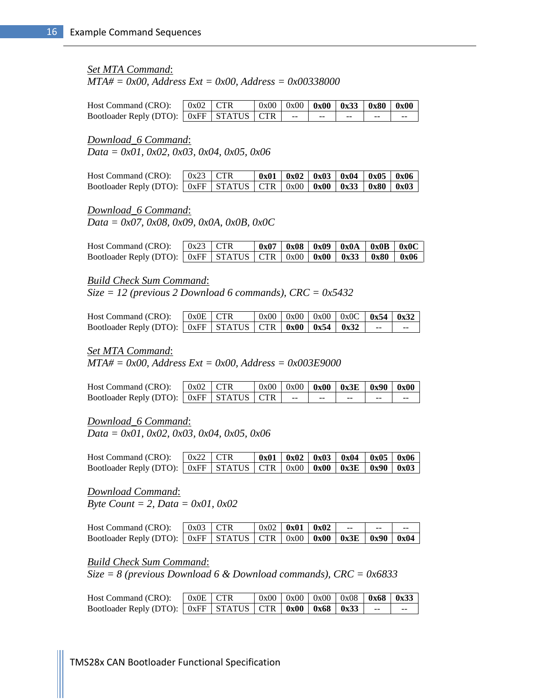#### *Set MTA Command*:

*MTA# = 0x00, Address Ext = 0x00, Address = 0x00338000*

| Host Command (CRO): $\vert$ 0x02 $\vert$ CTR  |  |                                     | $\vert 0x00 \vert 0x00 \vert 0x00 \vert 0x33 \vert 0x80 \vert 0x00$ |       |    |
|-----------------------------------------------|--|-------------------------------------|---------------------------------------------------------------------|-------|----|
| Bootloader Reply (DTO):   0xFF   STATUS   CTR |  | the contract of the contract of the | $\sim$ $\sim$                                                       | $- -$ | -- |

*Download\_6 Command*:

*Data = 0x01, 0x02, 0x03, 0x04, 0x05, 0x06*

| Host Command (CRO):                                                                    | $0x23$ CTR |  |  | $0x01$   $0x02$   $0x03$   $0x04$   $0x05$   $0x06$ |  |
|----------------------------------------------------------------------------------------|------------|--|--|-----------------------------------------------------|--|
| Bootloader Reply (DTO): $\vert$ 0xFF   STATUS   CTR   0x00   0x00   0x33   0x80   0x03 |            |  |  |                                                     |  |

#### *Download\_6 Command*:

*Data = 0x07, 0x08, 0x09, 0x0A, 0x0B, 0x0C*

| Host Command (CRO):                                                              | $0x23$ CTR |  |  | $0x07 + 0x08 + 0x09 + 0x0A + 0x0B + 0x0C$ |  |
|----------------------------------------------------------------------------------|------------|--|--|-------------------------------------------|--|
| Bootloader Reply (DTO):   0xFF   STATUS   CTR   0x00   0x00   0x33   0x80   0x06 |            |  |  |                                           |  |

#### *Build Check Sum Command*:

*Size = 12 (previous 2 Download 6 commands), CRC = 0x5432*

| Host Command (CRO): $\vert$ 0x0E $\vert$ CTR                                                           |  |  | $0x00$   $0x00$   $0x00$   $0x0C$   $0x54$   $0x32$ |      |
|--------------------------------------------------------------------------------------------------------|--|--|-----------------------------------------------------|------|
| Bootloader Reply (DTO): $\vert$ 0xFF $\vert$ STATUS $\vert$ CTR $\vert$ 0x00 $\vert$ 0x54 $\vert$ 0x32 |  |  |                                                     | $ -$ |

*Set MTA Command*:

*MTA# = 0x00, Address Ext = 0x00, Address = 0x003E9000*

| Host Command (CRO):                           | $0x02$ CTR |  |  | $\vert 0x00 \vert 0x00 \vert 0x00 \vert 0x3E \vert 0x90 \vert 0x00 \vert$ |       |    |
|-----------------------------------------------|------------|--|--|---------------------------------------------------------------------------|-------|----|
| Bootloader Reply (DTO):   0xFF   STATUS   CTR |            |  |  | $ -$                                                                      | $- -$ | -- |

#### *Download\_6 Command*:

*Data = 0x01, 0x02, 0x03, 0x04, 0x05, 0x06*

| Host Command (CRO):                                                                       | $0x22$ CTR |  | $0x01 + 0x02 + 0x03 + 0x04$ |  | $-10x05 + 0x06$ |
|-------------------------------------------------------------------------------------------|------------|--|-----------------------------|--|-----------------|
| Bootloader Reply (DTO):   0xFF   STATUS   CTR   0x00   <b>0x00   0x3E   0x90   0x03  </b> |            |  |                             |  |                 |

*Download Command*:

*Byte Count = 2, Data = 0x01, 0x02*

| Host Command (CRO):                                                                    | $\vert$ 0x03 $\vert$ CTR |  | $0x02$   $0x01$   $0x02$ | $- -$ | $- -$ | -- |
|----------------------------------------------------------------------------------------|--------------------------|--|--------------------------|-------|-------|----|
| Bootloader Reply (DTO): $\vert$ 0xFF   STATUS   CTR   0x00   0x00   0x3E   0x90   0x04 |                          |  |                          |       |       |    |

#### *Build Check Sum Command*:

*Size = 8 (previous Download 6 & Download commands), CRC = 0x6833*

| Host Command (CRO): $\vert$ 0x0E $\vert$ CTR                       |  |  | $0x00$   $0x00$   $0x00$   $0x08$   $0x68$   $0x33$ |       |    |
|--------------------------------------------------------------------|--|--|-----------------------------------------------------|-------|----|
| Bootloader Reply (DTO):   0xFF   STATUS   CTR   0x00   0x68   0x33 |  |  |                                                     | $- -$ | -- |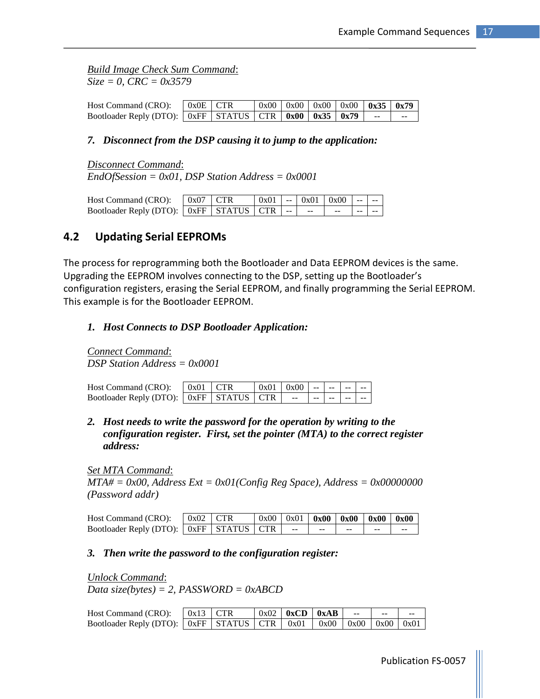*Build Image Check Sum Command*: *Size = 0, CRC = 0x3579*

| Host Command (CRO): $\vert$ 0x0E $\vert$ CTR                             |  |  | $\vert 0x00 \vert 0x00 \vert 0x00 \vert 0x00 \vert 0x35 \vert 0x79$ |       |    |
|--------------------------------------------------------------------------|--|--|---------------------------------------------------------------------|-------|----|
| Bootloader Reply (DTO): $\vert$ 0xFF   STATUS   CTR   0x00   0x35   0x79 |  |  |                                                                     | $- -$ | -- |

#### *7. Disconnect from the DSP causing it to jump to the application:*

*Disconnect Command*: *EndOfSession = 0x01, DSP Station Address = 0x0001*

| Host Command (CRO):                                | $0x07$ CTR |  |  | $\left  0x01 \right  = \left  0x01 \right  0x00$ |       |  |
|----------------------------------------------------|------------|--|--|--------------------------------------------------|-------|--|
| Bootloader Reply (DTO):   0xFF   STATUS   CTR   -- |            |  |  | $\sim$ $\sim$                                    | $- -$ |  |

### <span id="page-18-0"></span>**4.2 Updating Serial EEPROMs**

The process for reprogramming both the Bootloader and Data EEPROM devices is the same. Upgrading the EEPROM involves connecting to the DSP, setting up the Bootloader's configuration registers, erasing the Serial EEPROM, and finally programming the Serial EEPROM. This example is for the Bootloader EEPROM.

#### *1. Host Connects to DSP Bootloader Application:*

*Connect Command*: *DSP Station Address = 0x0001*

| Host Command (CRO):                                                                                         | $0x01$ CTR |  | $\left[0x01\right]0x00$ ----- |  |  |
|-------------------------------------------------------------------------------------------------------------|------------|--|-------------------------------|--|--|
| Bootloader Reply (DTO): $\vert$ 0xFF $\vert$ STATUS $\vert$ CTR $\vert$ -- $\vert$ -- $\vert$ -- $\vert$ -- |            |  |                               |  |  |

#### *2. Host needs to write the password for the operation by writing to the configuration register. First, set the pointer (MTA) to the correct register address:*

*Set MTA Command*:

 $MTA# = 0x00$ , Address Ext =  $0x01$ (Config Reg Space), Address =  $0x00000000$ *(Password addr)*

| Host Command (CRO): $\vert$ 0x02 $\vert$ CTR  |  |                                           | $\vert 0x00 \vert 0x01 \vert 0x00 \vert 0x00 \vert 0x00 \vert 0x00$ |    |      |
|-----------------------------------------------|--|-------------------------------------------|---------------------------------------------------------------------|----|------|
| Bootloader Reply (DTO):   0xFF   STATUS   CTR |  | <b>Service Contract Contract Contract</b> | $- -$                                                               | -- | $ -$ |

#### *3. Then write the password to the configuration register:*

*Unlock Command*: *Data size(bytes) = 2, PASSWORD = 0xABCD*

| Host Command (CRO):                                                              | $0x13$ CTR |  | $\vert$ 0x02 $\vert$ <b>0xCD</b> $\vert$ <b>0xAB</b> $\vert$ |  | $- -$ | -- |
|----------------------------------------------------------------------------------|------------|--|--------------------------------------------------------------|--|-------|----|
| Bootloader Reply (DTO):   0xFF   STATUS   CTR   0x01   0x00   0x00   0x00   0x01 |            |  |                                                              |  |       |    |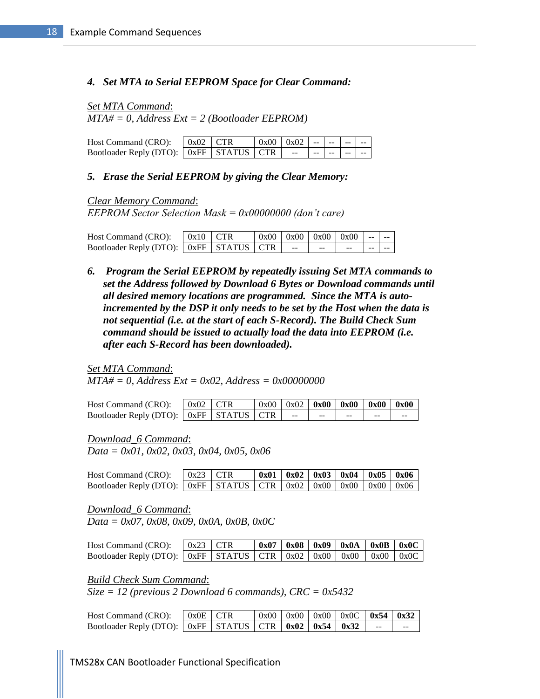#### *4. Set MTA to Serial EEPROM Space for Clear Command:*

#### *Set MTA Command*:

*MTA# = 0, Address Ext = 2 (Bootloader EEPROM)*

| Host Command (CRO): $\vert$ 0x02 $\vert$ CTR                                                                |  | $\vert 0x00 \vert 0x02 \vert - \vert - \vert - \vert - \vert -$ |  |  |
|-------------------------------------------------------------------------------------------------------------|--|-----------------------------------------------------------------|--|--|
| Bootloader Reply (DTO): $\vert$ 0xFF $\vert$ STATUS $\vert$ CTR $\vert$ -- $\vert$ -- $\vert$ -- $\vert$ -- |  |                                                                 |  |  |

#### *5. Erase the Serial EEPROM by giving the Clear Memory:*

#### *Clear Memory Command*:

*EEPROM Sector Selection Mask = 0x00000000 (don't care)*

| Host Command (CRO):                           | $0x10$ CTR |  |        |                                     | $\vert 0x00 \vert 0x00 \vert 0x00 \vert 0x00 \vert - \vert$ |       |  |
|-----------------------------------------------|------------|--|--------|-------------------------------------|-------------------------------------------------------------|-------|--|
| Bootloader Reply (DTO):   0xFF   STATUS   CTR |            |  | $   -$ | the contract of the contract of the | $- -$                                                       | $- -$ |  |

*6. Program the Serial EEPROM by repeatedly issuing Set MTA commands to set the Address followed by Download 6 Bytes or Download commands until all desired memory locations are programmed. Since the MTA is autoincremented by the DSP it only needs to be set by the Host when the data is not sequential (i.e. at the start of each S-Record). The Build Check Sum command should be issued to actually load the data into EEPROM (i.e. after each S-Record has been downloaded).*

*Set MTA Command*:

*MTA# = 0, Address Ext = 0x02, Address = 0x00000000* 

| Host Command (CRO): $\vert$ 0x02 $\vert$ CTR  |  |  | $\vert 0x00 \vert 0x02 \vert 0x00 \vert 0x00 \vert 0x00 \vert 0x00$ |                |       |  |
|-----------------------------------------------|--|--|---------------------------------------------------------------------|----------------|-------|--|
| Bootloader Reply (DTO):   0xFF   STATUS   CTR |  |  | المستقبل المستحدث                                                   | <b>Service</b> | $- -$ |  |

*Download\_6 Command*:

*Data = 0x01, 0x02, 0x03, 0x04, 0x05, 0x06* 

| Host Command (CRO):                                                              | $\vert$ 0x23 $\vert$ CTR |  |  | $0x01$   $0x02$   $0x03$   $0x04$   $0x05$   $0x06$ |  |
|----------------------------------------------------------------------------------|--------------------------|--|--|-----------------------------------------------------|--|
| Bootloader Reply (DTO):   0xFF   STATUS   CTR   0x02   0x00   0x00   0x00   0x06 |                          |  |  |                                                     |  |

*Download\_6 Command*:

*Data = 0x07, 0x08, 0x09, 0x0A, 0x0B, 0x0C* 

| Host Command (CRO):                                                                           | $0x23$ CTR |  |  | $\vert 0x07 \vert 0x08 \vert 0x09 \vert 0x0A \vert 0x0B \vert 0x0C$ |  |
|-----------------------------------------------------------------------------------------------|------------|--|--|---------------------------------------------------------------------|--|
| Bootloader Reply (DTO): $\vert$ 0xFF   STATUS   CTR   0x02   0x00   0x00   0x00   0x00   0x00 |            |  |  |                                                                     |  |

*Build Check Sum Command*:

*Size = 12 (previous 2 Download 6 commands), CRC = 0x5432*

| Host Command (CRO):                                                                                    | $\vert$ 0x0E $\vert$ CTR |  |  | $0x00$   $0x00$   $0x00$   $0x0C$   $0x54$   $0x32$ |       |       |
|--------------------------------------------------------------------------------------------------------|--------------------------|--|--|-----------------------------------------------------|-------|-------|
| Bootloader Reply (DTO): $\vert$ 0xFF $\vert$ STATUS $\vert$ CTR $\vert$ 0x02 $\vert$ 0x54 $\vert$ 0x32 |                          |  |  |                                                     | $- -$ | $- -$ |

TMS28x CAN Bootloader Functional Specification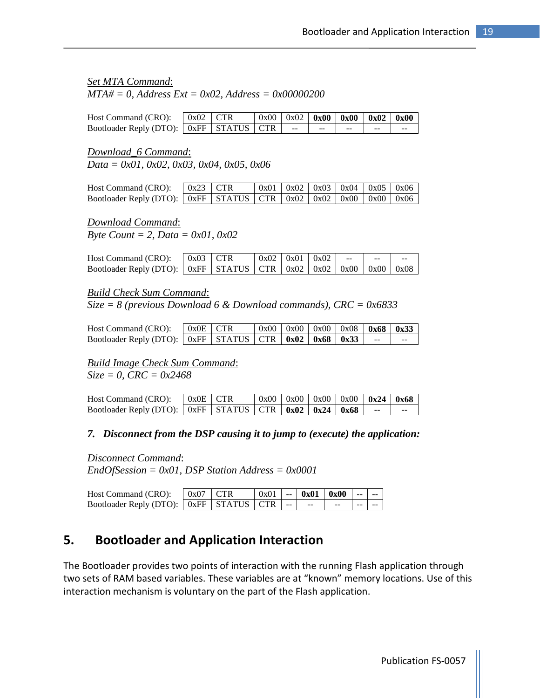#### *Set MTA Command*: *MTA# = 0, Address Ext = 0x02, Address = 0x00000200*

| Host Command (CRO): $\vert$ 0x02 $\vert$ CTR  |  |  |                   | $\vert 0x00 \vert 0x02 \vert 0x00 \vert 0x00 \vert 0x02 \vert 0x00$ |               |       |
|-----------------------------------------------|--|--|-------------------|---------------------------------------------------------------------|---------------|-------|
| Bootloader Reply (DTO):   0xFF   STATUS   CTR |  |  | المستقبل المستقبل | $ -$                                                                | $\sim$ $\sim$ | $- -$ |

*Download\_6 Command*: *Data = 0x01, 0x02, 0x03, 0x04, 0x05, 0x06*

| Host Command (CRO): $\vert$ 0x23 $\vert$ CTR |  |  | $\vert 0x01 \vert 0x02 \vert 0x03 \vert 0x04 \vert 0x05 \vert 0x06$ |  |
|----------------------------------------------|--|--|---------------------------------------------------------------------|--|
|                                              |  |  |                                                                     |  |

Bootloader Reply (DTO): 0xFF STATUS CTR 0x02 0x02 0x00 0x00 0x06

*Download Command*:

*Byte Count = 2, Data = 0x01, 0x02*

| Host Command (CRO): $\vert$ 0x03 $\vert$ CTR                                                                                     |  | $0x02$ $0x01$ $0x02$ |  | and the contract of | -- |
|----------------------------------------------------------------------------------------------------------------------------------|--|----------------------|--|---------------------|----|
| Bootloader Reply (DTO): $\vert$ 0xF $\vert$ STATUS $\vert$ CTR $\vert$ 0x02 $\vert$ 0x02 $\vert$ 0x00 $\vert$ 0x00 $\vert$ 0x08. |  |                      |  |                     |    |

#### *Build Check Sum Command*:

*Size = 8 (previous Download 6 & Download commands), CRC = 0x6833*

| Host Command (CRO):                                                      | $0x0E$ CTR |  |  | $0x00$   0x00   0x00   0x08   <b>0x68   0x33</b> |       |    |
|--------------------------------------------------------------------------|------------|--|--|--------------------------------------------------|-------|----|
| Bootloader Reply (DTO): $\vert$ 0xFF   STATUS   CTR   0x02   0x68   0x33 |            |  |  |                                                  | $- -$ | -- |

*Build Image Check Sum Command*: *Size = 0, CRC = 0x2468*

| Host Command (CRO):                                                                                    | $0x0E$ CTR |  |  | $0x00$   $0x00$   $0x00$   $0x00$   $0x24$   $0x68$ |    |
|--------------------------------------------------------------------------------------------------------|------------|--|--|-----------------------------------------------------|----|
| Bootloader Reply (DTO): $\vert$ 0xFF $\vert$ STATUS $\vert$ CTR $\vert$ 0x02 $\vert$ 0x24 $\vert$ 0x68 |            |  |  |                                                     | -- |

#### *7. Disconnect from the DSP causing it to jump to (execute) the application:*

*Disconnect Command*: *EndOfSession = 0x01, DSP Station Address = 0x0001*

| Host Command (CRO):                           | $\vert$ 0x07 $\vert$ CTR |  |     | $\vert 0x01 \vert - \vert 0x01 \vert 0x00$ |     | $- -$ | $ -$ |
|-----------------------------------------------|--------------------------|--|-----|--------------------------------------------|-----|-------|------|
| Bootloader Reply (DTO):   0xFF   STATUS   CTR |                          |  | --- |                                            | $-$ | $ -$  | $ -$ |

### <span id="page-20-0"></span>**5. Bootloader and Application Interaction**

The Bootloader provides two points of interaction with the running Flash application through two sets of RAM based variables. These variables are at "known" memory locations. Use of this interaction mechanism is voluntary on the part of the Flash application.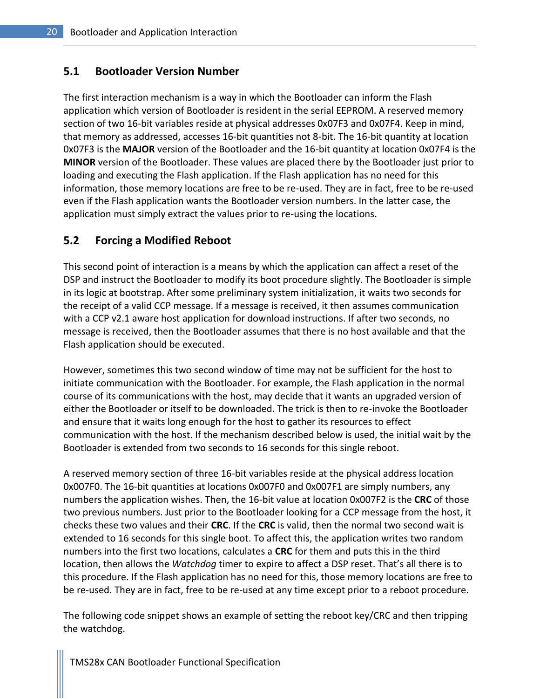### <span id="page-21-0"></span>**5.1 Bootloader Version Number**

The first interaction mechanism is a way in which the Bootloader can inform the Flash application which version of Bootloader is resident in the serial EEPROM. A reserved memory section of two 16-bit variables reside at physical addresses 0x07F3 and 0x07F4. Keep in mind, that memory as addressed, accesses 16-bit quantities not 8-bit. The 16-bit quantity at location 0x07F3 is the **MAJOR** version of the Bootloader and the 16-bit quantity at location 0x07F4 is the **MINOR** version of the Bootloader. These values are placed there by the Bootloader just prior to loading and executing the Flash application. If the Flash application has no need for this information, those memory locations are free to be re-used. They are in fact, free to be re-used even if the Flash application wants the Bootloader version numbers. In the latter case, the application must simply extract the values prior to re-using the locations.

### <span id="page-21-1"></span>**5.2 Forcing a Modified Reboot**

This second point of interaction is a means by which the application can affect a reset of the DSP and instruct the Bootloader to modify its boot procedure slightly. The Bootloader is simple in its logic at bootstrap. After some preliminary system initialization, it waits two seconds for the receipt of a valid CCP message. If a message is received, it then assumes communication with a CCP v2.1 aware host application for download instructions. If after two seconds, no message is received, then the Bootloader assumes that there is no host available and that the Flash application should be executed.

However, sometimes this two second window of time may not be sufficient for the host to initiate communication with the Bootloader. For example, the Flash application in the normal course of its communications with the host, may decide that it wants an upgraded version of either the Bootloader or itself to be downloaded. The trick is then to re-invoke the Bootloader and ensure that it waits long enough for the host to gather its resources to effect communication with the host. If the mechanism described below is used, the initial wait by the Bootloader is extended from two seconds to 16 seconds for this single reboot.

A reserved memory section of three 16-bit variables reside at the physical address location 0x007F0. The 16-bit quantities at locations 0x007F0 and 0x007F1 are simply numbers, any numbers the application wishes. Then, the 16-bit value at location 0x007F2 is the **CRC** of those two previous numbers. Just prior to the Bootloader looking for a CCP message from the host, it checks these two values and their **CRC**. If the **CRC** is valid, then the normal two second wait is extended to 16 seconds for this single boot. To affect this, the application writes two random numbers into the first two locations, calculates a **CRC** for them and puts this in the third location, then allows the *Watchdog* timer to expire to affect a DSP reset. That's all there is to this procedure. If the Flash application has no need for this, those memory locations are free to be re-used. They are in fact, free to be re-used at any time except prior to a reboot procedure.

The following code snippet shows an example of setting the reboot key/CRC and then tripping the watchdog.

TMS28x CAN Bootloader Functional Specification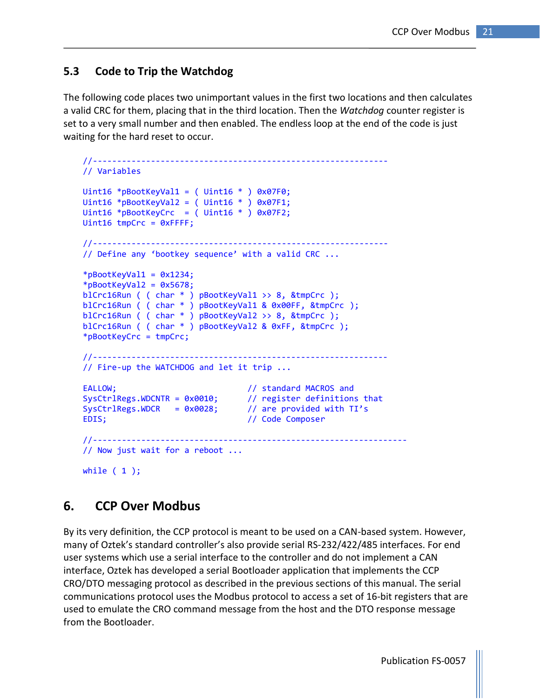### <span id="page-22-0"></span>**5.3 Code to Trip the Watchdog**

The following code places two unimportant values in the first two locations and then calculates a valid CRC for them, placing that in the third location. Then the *Watchdog* counter register is set to a very small number and then enabled. The endless loop at the end of the code is just waiting for the hard reset to occur.

```
 //-------------------------------------------------------------
     // Variables
    Uint16 *pBootKeyVal1 = ( Uint16 * ) 0x07F0;
    Uint16 *pBootKeyVal2 = ( Uint16 * ) 0x07F1;
    Uint16 *pBootKeyCrc = ( Uint16 * ) 0x07F2;
    Uint16 tmpC = 0xFFF; //-------------------------------------------------------------
     // Define any 'bootkey sequence' with a valid CRC ...
     *pBootKeyVal1 = 0x1234;
    *pBootKeyVal2 = 0x5678;
     blCrc16Run ( ( char * ) pBootKeyVal1 >> 8, &tmpCrc );
     blCrc16Run ( ( char * ) pBootKeyVal1 & 0x00FF, &tmpCrc );
     blCrc16Run ( ( char * ) pBootKeyVal2 >> 8, &tmpCrc );
     blCrc16Run ( ( char * ) pBootKeyVal2 & 0xFF, &tmpCrc );
    *pBootKeyCrc = tmpCrc;
     //-------------------------------------------------------------
     // Fire-up the WATCHDOG and let it trip ...
EALLOW; the contract of the contract of the contract of the contract of the contract of the contract of the contract of the contract of the contract of the contract of the contract of the contract of the contract of the co
 SysCtrlRegs.WDCNTR = 0x0010; // register definitions that
    SysCtrlRegs.WDCR = 0x0028; // are provided with TI's EDIS; // Code Composer
     //-----------------------------------------------------------------
     // Now just wait for a reboot ...
    while (1);
```
### <span id="page-22-1"></span>**6. CCP Over Modbus**

By its very definition, the CCP protocol is meant to be used on a CAN-based system. However, many of Oztek's standard controller's also provide serial RS-232/422/485 interfaces. For end user systems which use a serial interface to the controller and do not implement a CAN interface, Oztek has developed a serial Bootloader application that implements the CCP CRO/DTO messaging protocol as described in the previous sections of this manual. The serial communications protocol uses the Modbus protocol to access a set of 16-bit registers that are used to emulate the CRO command message from the host and the DTO response message from the Bootloader.

Publication FS-0057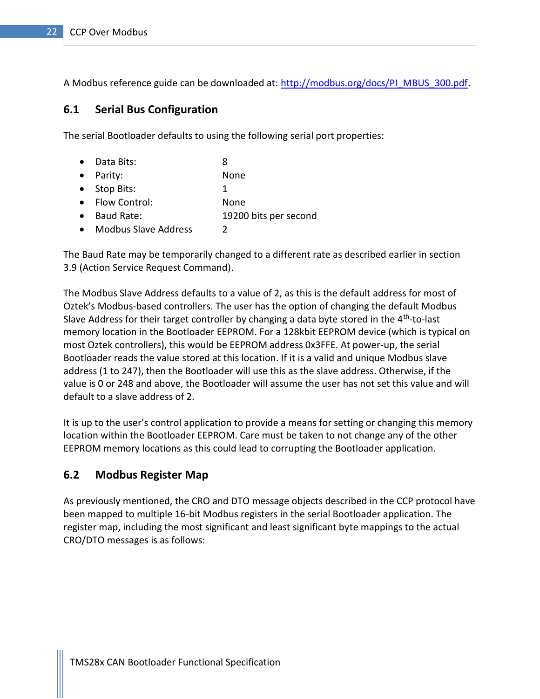<span id="page-23-0"></span>A Modbus reference guide can be downloaded at: [http://modbus.org/docs/PI\\_MBUS\\_300.pdf.](http://modbus.org/docs/PI_MBUS_300.pdf)

### **6.1 Serial Bus Configuration**

The serial Bootloader defaults to using the following serial port properties:

- Data Bits: 8 Parity: None • Stop Bits: 1 Flow Control: None Baud Rate: 19200 bits per second
- Modbus Slave Address 2

The Baud Rate may be temporarily changed to a different rate as described earlier in section [3.9](#page-14-0) [\(Action Service Request Command\)](#page-14-0).

The Modbus Slave Address defaults to a value of 2, as this is the default address for most of Oztek's Modbus-based controllers. The user has the option of changing the default Modbus Slave Address for their target controller by changing a data byte stored in the 4<sup>th</sup>-to-last memory location in the Bootloader EEPROM. For a 128kbit EEPROM device (which is typical on most Oztek controllers), this would be EEPROM address 0x3FFE. At power-up, the serial Bootloader reads the value stored at this location. If it is a valid and unique Modbus slave address (1 to 247), then the Bootloader will use this as the slave address. Otherwise, if the value is 0 or 248 and above, the Bootloader will assume the user has not set this value and will default to a slave address of 2.

It is up to the user's control application to provide a means for setting or changing this memory location within the Bootloader EEPROM. Care must be taken to not change any of the other EEPROM memory locations as this could lead to corrupting the Bootloader application.

### <span id="page-23-1"></span>**6.2 Modbus Register Map**

As previously mentioned, the CRO and DTO message objects described in the CCP protocol have been mapped to multiple 16-bit Modbus registers in the serial Bootloader application. The register map, including the most significant and least significant byte mappings to the actual CRO/DTO messages is as follows: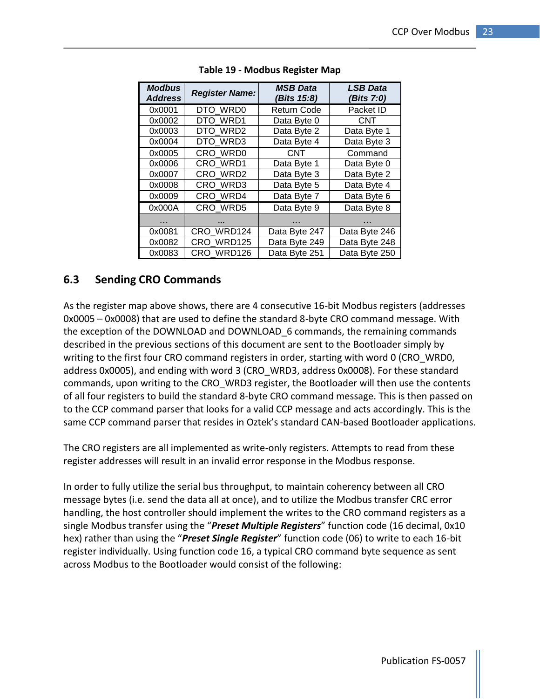<span id="page-24-1"></span>

| <b>Modbus</b><br><b>Address</b> | <b>Register Name:</b> | <b>MSB Data</b><br>(Bits 15:8) | <b>LSB Data</b><br>(Bits 7:0) |
|---------------------------------|-----------------------|--------------------------------|-------------------------------|
| 0x0001                          | DTO WRD0              | <b>Return Code</b>             | Packet ID                     |
| 0x0002                          | DTO WRD1              | Data Byte 0                    | CNT                           |
| 0x0003                          | DTO WRD2              | Data Byte 2                    | Data Byte 1                   |
| 0x0004                          | DTO WRD3              | Data Byte 4                    | Data Byte 3                   |
| 0x0005                          | CRO WRD0              | <b>CNT</b>                     | Command                       |
| 0x0006                          | CRO WRD1              | Data Byte 1                    | Data Byte 0                   |
| 0x0007                          | CRO WRD2              | Data Byte 3                    | Data Byte 2                   |
| 0x0008                          | CRO WRD3              | Data Byte 5                    | Data Byte 4                   |
| 0x0009                          | CRO WRD4              | Data Byte 7                    | Data Byte 6                   |
| 0x000A                          | CRO WRD5              | Data Byte 9                    | Data Byte 8                   |
| $\cdots$                        |                       |                                |                               |
| 0x0081                          | CRO WRD124            | Data Byte 247                  | Data Byte 246                 |
| 0x0082                          | CRO WRD125            | Data Byte 249                  | Data Byte 248                 |
| 0x0083                          | CRO WRD126            | Data Byte 251                  | Data Byte 250                 |

|  |  |  | Table 19 - Modbus Register Map |  |
|--|--|--|--------------------------------|--|
|--|--|--|--------------------------------|--|

### <span id="page-24-0"></span>**6.3 Sending CRO Commands**

As the register map above shows, there are 4 consecutive 16-bit Modbus registers (addresses 0x0005 – 0x0008) that are used to define the standard 8-byte CRO command message. With the exception of the DOWNLOAD and DOWNLOAD\_6 commands, the remaining commands described in the previous sections of this document are sent to the Bootloader simply by writing to the first four CRO command registers in order, starting with word 0 (CRO WRD0, address 0x0005), and ending with word 3 (CRO\_WRD3, address 0x0008). For these standard commands, upon writing to the CRO\_WRD3 register, the Bootloader will then use the contents of all four registers to build the standard 8-byte CRO command message. This is then passed on to the CCP command parser that looks for a valid CCP message and acts accordingly. This is the same CCP command parser that resides in Oztek's standard CAN-based Bootloader applications.

The CRO registers are all implemented as write-only registers. Attempts to read from these register addresses will result in an invalid error response in the Modbus response.

In order to fully utilize the serial bus throughput, to maintain coherency between all CRO message bytes (i.e. send the data all at once), and to utilize the Modbus transfer CRC error handling, the host controller should implement the writes to the CRO command registers as a single Modbus transfer using the "*Preset Multiple Registers*" function code (16 decimal, 0x10 hex) rather than using the "*Preset Single Register*" function code (06) to write to each 16-bit register individually. Using function code 16, a typical CRO command byte sequence as sent across Modbus to the Bootloader would consist of the following: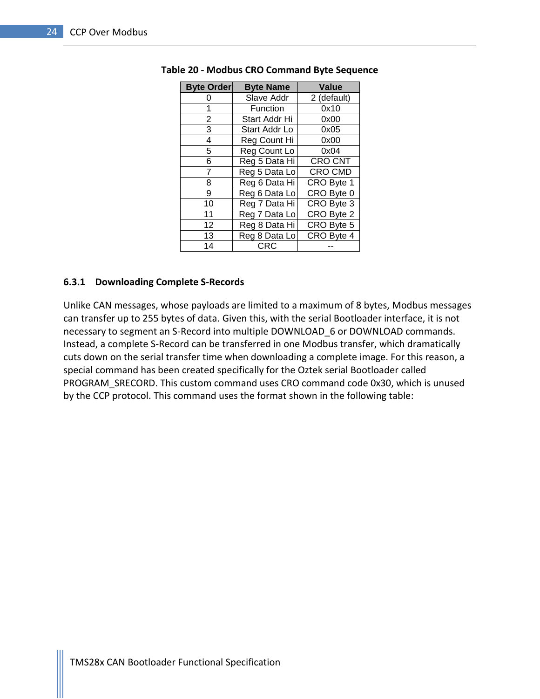| <b>Byte Order</b> | <b>Byte Name</b> | Value          |
|-------------------|------------------|----------------|
|                   | Slave Addr       | 2 (default)    |
|                   | Function         | 0x10           |
| $\overline{2}$    | Start Addr Hi    | 0x00           |
| 3                 | Start Addr Lo    | 0x05           |
| 4                 | Reg Count Hi     | 0x00           |
| 5                 | Reg Count Lo     | 0x04           |
| 6                 | Reg 5 Data Hi    | <b>CRO CNT</b> |
| 7                 | Reg 5 Data Lo    | <b>CRO CMD</b> |
| 8                 | Reg 6 Data Hi    | CRO Byte 1     |
| 9                 | Reg 6 Data Lo    | CRO Byte 0     |
| 10                | Reg 7 Data Hi    | CRO Byte 3     |
| 11                | Reg 7 Data Lo    | CRO Byte 2     |
| 12                | Reg 8 Data Hi    | CRO Byte 5     |
| 13                | Reg 8 Data Lo    | CRO Byte 4     |
| 14                | <b>CRC</b>       |                |

#### <span id="page-25-1"></span>**Table 20 - Modbus CRO Command Byte Sequence**

#### <span id="page-25-0"></span>**6.3.1 Downloading Complete S-Records**

Unlike CAN messages, whose payloads are limited to a maximum of 8 bytes, Modbus messages can transfer up to 255 bytes of data. Given this, with the serial Bootloader interface, it is not necessary to segment an S-Record into multiple DOWNLOAD\_6 or DOWNLOAD commands. Instead, a complete S-Record can be transferred in one Modbus transfer, which dramatically cuts down on the serial transfer time when downloading a complete image. For this reason, a special command has been created specifically for the Oztek serial Bootloader called PROGRAM SRECORD. This custom command uses CRO command code 0x30, which is unused by the CCP protocol. This command uses the format shown in the following table: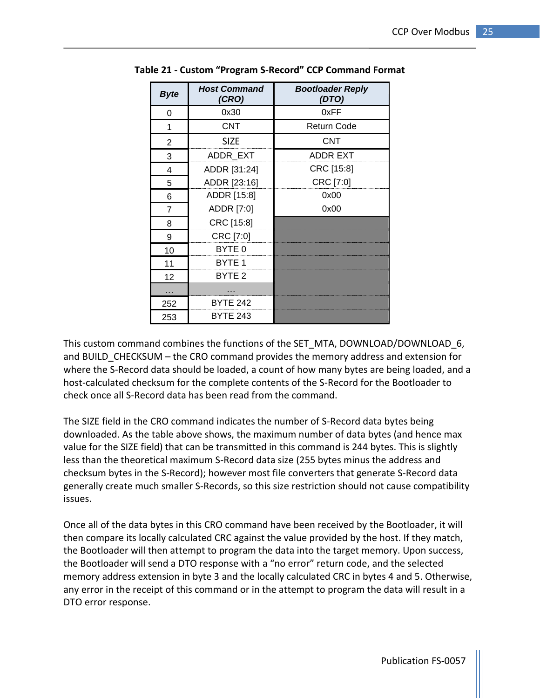| <b>Byte</b> | <b>Host Command</b><br>(CRO) | <b>Bootloader Reply</b><br>(DTO) |
|-------------|------------------------------|----------------------------------|
| 0           | 0x30                         | 0xFF                             |
| 1           | <b>CNT</b>                   | <b>Return Code</b>               |
| 2           | <b>SIZE</b>                  | <b>CNT</b>                       |
| 3           | ADDR_EXT                     | ADDR EXT                         |
| 4           | ADDR [31:24]                 | CRC [15:8]                       |
| 5           | ADDR [23:16]                 | CRC [7:0]                        |
| 6           | ADDR [15:8]                  | 0x00                             |
| 7           | ADDR [7:0]                   | 0x00                             |
| 8           | CRC [15:8]                   |                                  |
| 9           | CRC [7:0]                    |                                  |
| 10          | BYTE 0                       |                                  |
| 11          | BYTE 1                       |                                  |
| 12          | BYTE <sub>2</sub>            |                                  |
|             |                              |                                  |
| 252         | <b>BYTE 242</b>              |                                  |
| 253         | <b>BYTE 243</b>              |                                  |

<span id="page-26-0"></span>**Table 21 - Custom "Program S-Record" CCP Command Format**

This custom command combines the functions of the SET\_MTA, DOWNLOAD/DOWNLOAD\_6, and BUILD\_CHECKSUM – the CRO command provides the memory address and extension for where the S-Record data should be loaded, a count of how many bytes are being loaded, and a host-calculated checksum for the complete contents of the S-Record for the Bootloader to check once all S-Record data has been read from the command.

The SIZE field in the CRO command indicates the number of S-Record data bytes being downloaded. As the table above shows, the maximum number of data bytes (and hence max value for the SIZE field) that can be transmitted in this command is 244 bytes. This is slightly less than the theoretical maximum S-Record data size (255 bytes minus the address and checksum bytes in the S-Record); however most file converters that generate S-Record data generally create much smaller S-Records, so this size restriction should not cause compatibility issues.

Once all of the data bytes in this CRO command have been received by the Bootloader, it will then compare its locally calculated CRC against the value provided by the host. If they match, the Bootloader will then attempt to program the data into the target memory. Upon success, the Bootloader will send a DTO response with a "no error" return code, and the selected memory address extension in byte 3 and the locally calculated CRC in bytes 4 and 5. Otherwise, any error in the receipt of this command or in the attempt to program the data will result in a DTO error response.

Publication FS-0057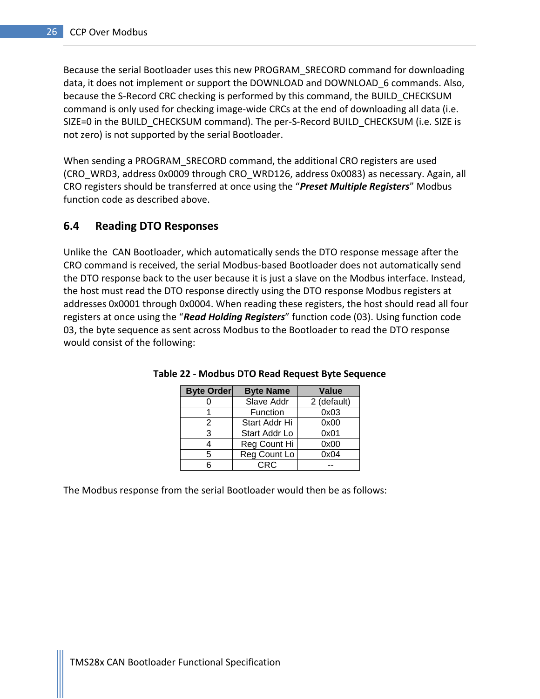Because the serial Bootloader uses this new PROGRAM\_SRECORD command for downloading data, it does not implement or support the DOWNLOAD and DOWNLOAD\_6 commands. Also, because the S-Record CRC checking is performed by this command, the BUILD\_CHECKSUM command is only used for checking image-wide CRCs at the end of downloading all data (i.e. SIZE=0 in the BUILD CHECKSUM command). The per-S-Record BUILD CHECKSUM (i.e. SIZE is not zero) is not supported by the serial Bootloader.

When sending a PROGRAM\_SRECORD command, the additional CRO registers are used (CRO\_WRD3, address 0x0009 through CRO\_WRD126, address 0x0083) as necessary. Again, all CRO registers should be transferred at once using the "*Preset Multiple Registers*" Modbus function code as described above.

### <span id="page-27-0"></span>**6.4 Reading DTO Responses**

Unlike the CAN Bootloader, which automatically sends the DTO response message after the CRO command is received, the serial Modbus-based Bootloader does not automatically send the DTO response back to the user because it is just a slave on the Modbus interface. Instead, the host must read the DTO response directly using the DTO response Modbus registers at addresses 0x0001 through 0x0004. When reading these registers, the host should read all four registers at once using the "*Read Holding Registers*" function code (03). Using function code 03, the byte sequence as sent across Modbus to the Bootloader to read the DTO response would consist of the following:

| <b>Byte Order</b> | <b>Byte Name</b> | <b>Value</b> |
|-------------------|------------------|--------------|
|                   | Slave Addr       | 2 (default)  |
|                   | Function         | 0x03         |
| 2                 | Start Addr Hi    | 0x00         |
| 3                 | Start Addr Lo    | 0x01         |
|                   | Reg Count Hi     | 0x00         |
| 5                 | Reg Count Lo     | 0x04         |
|                   | CRC              |              |

<span id="page-27-1"></span>**Table 22 - Modbus DTO Read Request Byte Sequence**

The Modbus response from the serial Bootloader would then be as follows: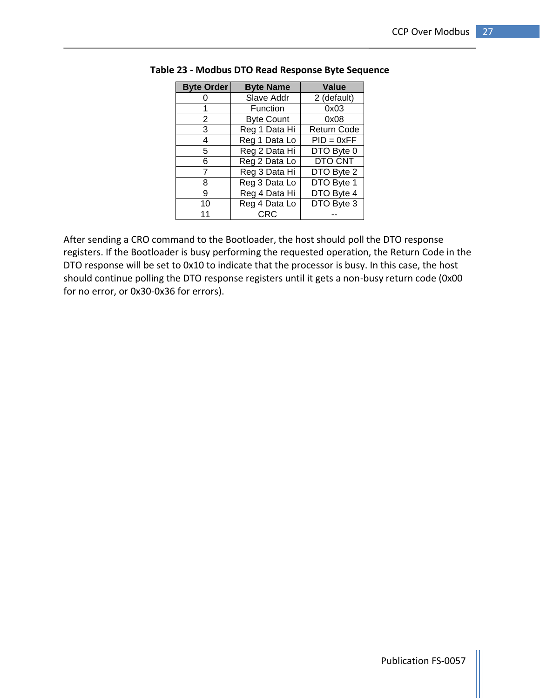| <b>Byte Order</b> | <b>Byte Name</b>  | Value              |
|-------------------|-------------------|--------------------|
|                   | Slave Addr        | 2 (default)        |
|                   | Function          | 0x03               |
| 2                 | <b>Byte Count</b> | 0x08               |
| 3                 | Reg 1 Data Hi     | <b>Return Code</b> |
| 4                 | Reg 1 Data Lo     | $PID = 0xFF$       |
| 5                 | Reg 2 Data Hi     | DTO Byte 0         |
| 6                 | Reg 2 Data Lo     | DTO CNT            |
|                   | Reg 3 Data Hi     | DTO Byte 2         |
| 8                 | Reg 3 Data Lo     | DTO Byte 1         |
| 9                 | Reg 4 Data Hi     | DTO Byte 4         |
| 10                | Reg 4 Data Lo     | DTO Byte 3         |
| 11                | <b>CRC</b>        |                    |

<span id="page-28-0"></span>

After sending a CRO command to the Bootloader, the host should poll the DTO response registers. If the Bootloader is busy performing the requested operation, the Return Code in the DTO response will be set to 0x10 to indicate that the processor is busy. In this case, the host should continue polling the DTO response registers until it gets a non-busy return code (0x00 for no error, or 0x30-0x36 for errors).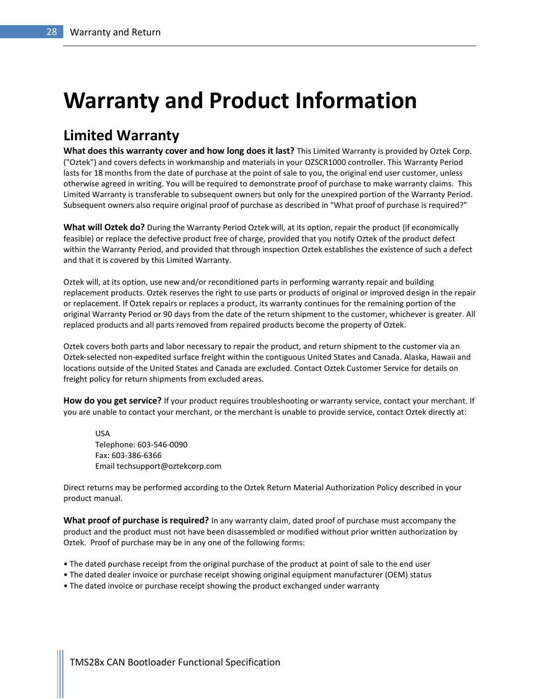# <span id="page-29-0"></span>**Warranty and Product Information**

## **Limited Warranty**

**What does this warranty cover and how long does it last?** This Limited Warranty is provided by Oztek Corp. ("Oztek") and covers defects in workmanship and materials in your OZSCR1000 controller. This Warranty Period lasts for 18 months from the date of purchase at the point of sale to you, the original end user customer, unless otherwise agreed in writing. You will be required to demonstrate proof of purchase to make warranty claims. This Limited Warranty is transferable to subsequent owners but only for the unexpired portion of the Warranty Period. Subsequent owners also require original proof of purchase as described in "What proof of purchase is required?"

**What will Oztek do?** During the Warranty Period Oztek will, at its option, repair the product (if economically feasible) or replace the defective product free of charge, provided that you notify Oztek of the product defect within the Warranty Period, and provided that through inspection Oztek establishes the existence of such a defect and that it is covered by this Limited Warranty.

Oztek will, at its option, use new and/or reconditioned parts in performing warranty repair and building replacement products. Oztek reserves the right to use parts or products of original or improved design in the repair or replacement. If Oztek repairs or replaces a product, its warranty continues for the remaining portion of the original Warranty Period or 90 days from the date of the return shipment to the customer, whichever is greater. All replaced products and all parts removed from repaired products become the property of Oztek.

Oztek covers both parts and labor necessary to repair the product, and return shipment to the customer via an Oztek-selected non-expedited surface freight within the contiguous United States and Canada. Alaska, Hawaii and locations outside of the United States and Canada are excluded. Contact Oztek Customer Service for details on freight policy for return shipments from excluded areas.

**How do you get service?** If your product requires troubleshooting or warranty service, contact your merchant. If you are unable to contact your merchant, or the merchant is unable to provide service, contact Oztek directly at:

USA Telephone: 603-546-0090 Fax: 603-386-6366 Email techsupport@oztekcorp.com

Direct returns may be performed according to the Oztek Return Material Authorization Policy described in your product manual.

**What proof of purchase is required?** In any warranty claim, dated proof of purchase must accompany the product and the product must not have been disassembled or modified without prior written authorization by Oztek. Proof of purchase may be in any one of the following forms:

- The dated purchase receipt from the original purchase of the product at point of sale to the end user
- The dated dealer invoice or purchase receipt showing original equipment manufacturer (OEM) status
- The dated invoice or purchase receipt showing the product exchanged under warranty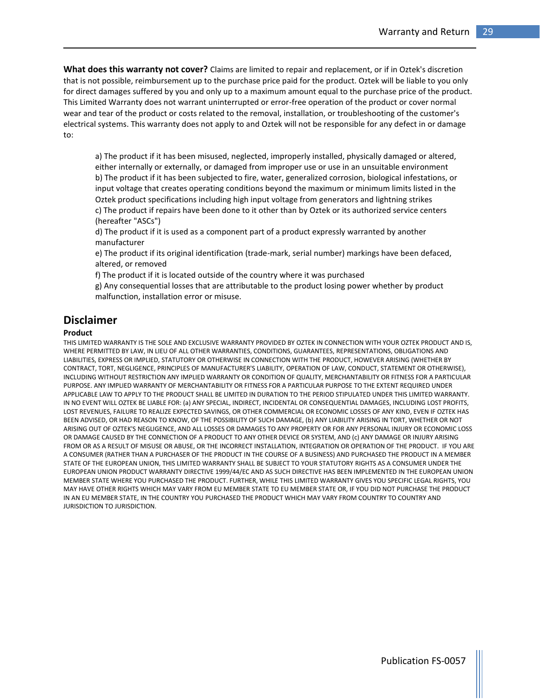**What does this warranty not cover?** Claims are limited to repair and replacement, or if in Oztek's discretion that is not possible, reimbursement up to the purchase price paid for the product. Oztek will be liable to you only for direct damages suffered by you and only up to a maximum amount equal to the purchase price of the product. This Limited Warranty does not warrant uninterrupted or error-free operation of the product or cover normal wear and tear of the product or costs related to the removal, installation, or troubleshooting of the customer's electrical systems. This warranty does not apply to and Oztek will not be responsible for any defect in or damage to:

a) The product if it has been misused, neglected, improperly installed, physically damaged or altered, either internally or externally, or damaged from improper use or use in an unsuitable environment b) The product if it has been subjected to fire, water, generalized corrosion, biological infestations, or input voltage that creates operating conditions beyond the maximum or minimum limits listed in the Oztek product specifications including high input voltage from generators and lightning strikes c) The product if repairs have been done to it other than by Oztek or its authorized service centers (hereafter "ASCs")

d) The product if it is used as a component part of a product expressly warranted by another manufacturer

e) The product if its original identification (trade-mark, serial number) markings have been defaced, altered, or removed

f) The product if it is located outside of the country where it was purchased

g) Any consequential losses that are attributable to the product losing power whether by product malfunction, installation error or misuse.

#### **Disclaimer**

#### **Product**

THIS LIMITED WARRANTY IS THE SOLE AND EXCLUSIVE WARRANTY PROVIDED BY OZTEK IN CONNECTION WITH YOUR OZTEK PRODUCT AND IS, WHERE PERMITTED BY LAW, IN LIEU OF ALL OTHER WARRANTIES, CONDITIONS, GUARANTEES, REPRESENTATIONS, OBLIGATIONS AND LIABILITIES, EXPRESS OR IMPLIED, STATUTORY OR OTHERWISE IN CONNECTION WITH THE PRODUCT, HOWEVER ARISING (WHETHER BY CONTRACT, TORT, NEGLIGENCE, PRINCIPLES OF MANUFACTURER'S LIABILITY, OPERATION OF LAW, CONDUCT, STATEMENT OR OTHERWISE), INCLUDING WITHOUT RESTRICTION ANY IMPLIED WARRANTY OR CONDITION OF QUALITY, MERCHANTABILITY OR FITNESS FOR A PARTICULAR PURPOSE. ANY IMPLIED WARRANTY OF MERCHANTABILITY OR FITNESS FOR A PARTICULAR PURPOSE TO THE EXTENT REQUIRED UNDER APPLICABLE LAW TO APPLY TO THE PRODUCT SHALL BE LIMITED IN DURATION TO THE PERIOD STIPULATED UNDER THIS LIMITED WARRANTY. IN NO EVENT WILL OZTEK BE LIABLE FOR: (a) ANY SPECIAL, INDIRECT, INCIDENTAL OR CONSEQUENTIAL DAMAGES, INCLUDING LOST PROFITS, LOST REVENUES, FAILURE TO REALIZE EXPECTED SAVINGS, OR OTHER COMMERCIAL OR ECONOMIC LOSSES OF ANY KIND, EVEN IF OZTEK HAS BEEN ADVISED, OR HAD REASON TO KNOW, OF THE POSSIBILITY OF SUCH DAMAGE, (b) ANY LIABILITY ARISING IN TORT, WHETHER OR NOT ARISING OUT OF OZTEK'S NEGLIGENCE, AND ALL LOSSES OR DAMAGES TO ANY PROPERTY OR FOR ANY PERSONAL INJURY OR ECONOMIC LOSS OR DAMAGE CAUSED BY THE CONNECTION OF A PRODUCT TO ANY OTHER DEVICE OR SYSTEM, AND (c) ANY DAMAGE OR INJURY ARISING FROM OR AS A RESULT OF MISUSE OR ABUSE, OR THE INCORRECT INSTALLATION, INTEGRATION OR OPERATION OF THE PRODUCT. IF YOU ARE A CONSUMER (RATHER THAN A PURCHASER OF THE PRODUCT IN THE COURSE OF A BUSINESS) AND PURCHASED THE PRODUCT IN A MEMBER STATE OF THE EUROPEAN UNION, THIS LIMITED WARRANTY SHALL BE SUBJECT TO YOUR STATUTORY RIGHTS AS A CONSUMER UNDER THE EUROPEAN UNION PRODUCT WARRANTY DIRECTIVE 1999/44/EC AND AS SUCH DIRECTIVE HAS BEEN IMPLEMENTED IN THE EUROPEAN UNION MEMBER STATE WHERE YOU PURCHASED THE PRODUCT. FURTHER, WHILE THIS LIMITED WARRANTY GIVES YOU SPECIFIC LEGAL RIGHTS, YOU MAY HAVE OTHER RIGHTS WHICH MAY VARY FROM EU MEMBER STATE TO EU MEMBER STATE OR, IF YOU DID NOT PURCHASE THE PRODUCT IN AN EU MEMBER STATE, IN THE COUNTRY YOU PURCHASED THE PRODUCT WHICH MAY VARY FROM COUNTRY TO COUNTRY AND JURISDICTION TO JURISDICTION.